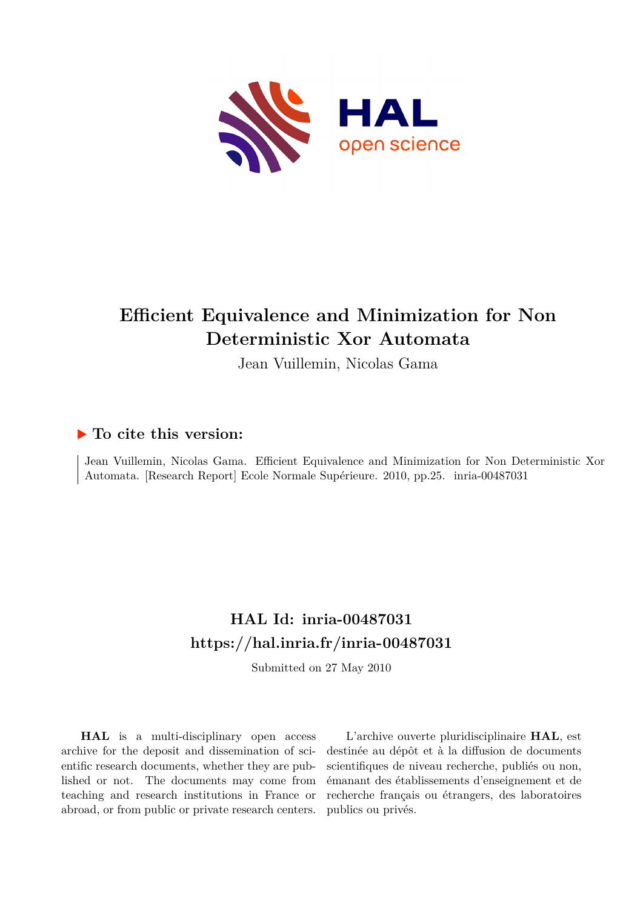

# **Efficient Equivalence and Minimization for Non Deterministic Xor Automata**

Jean Vuillemin, Nicolas Gama

## **To cite this version:**

Jean Vuillemin, Nicolas Gama. Efficient Equivalence and Minimization for Non Deterministic Xor Automata. [Research Report] Ecole Normale Supérieure. 2010, pp.25. inria-00487031

# **HAL Id: inria-00487031 <https://hal.inria.fr/inria-00487031>**

Submitted on 27 May 2010

**HAL** is a multi-disciplinary open access archive for the deposit and dissemination of scientific research documents, whether they are published or not. The documents may come from teaching and research institutions in France or abroad, or from public or private research centers.

L'archive ouverte pluridisciplinaire **HAL**, est destinée au dépôt et à la diffusion de documents scientifiques de niveau recherche, publiés ou non, émanant des établissements d'enseignement et de recherche français ou étrangers, des laboratoires publics ou privés.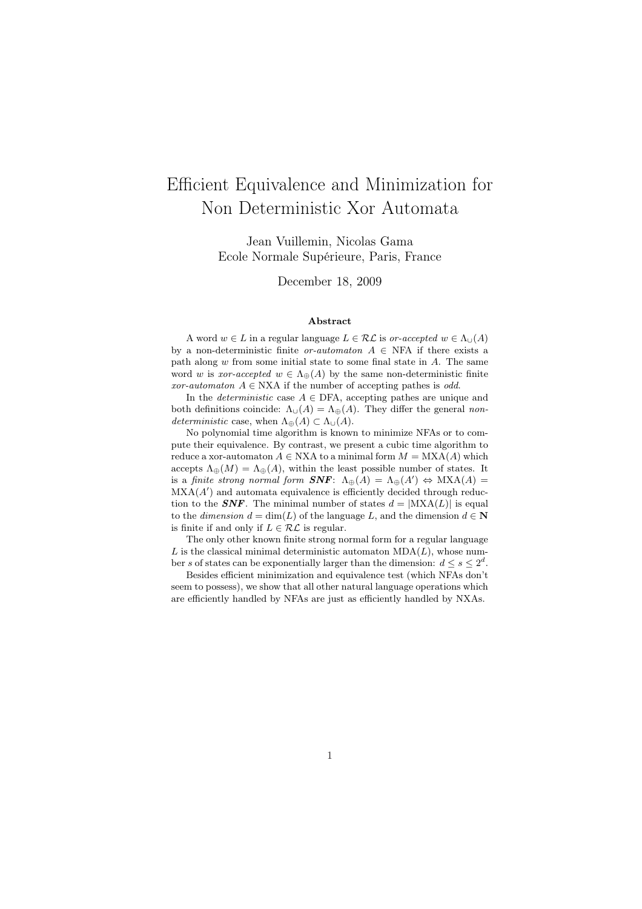# Efficient Equivalence and Minimization for Non Deterministic Xor Automata

Jean Vuillemin, Nicolas Gama Ecole Normale Supérieure, Paris, France

December 18, 2009

#### Abstract

A word  $w \in L$  in a regular language  $L \in \mathcal{RL}$  is or-accepted  $w \in \Lambda_{\cup}(A)$ by a non-deterministic finite *or-automaton*  $A \in \text{NFA}$  if there exists a path along  $w$  from some initial state to some final state in  $A$ . The same word w is xor-accepted  $w \in \Lambda_{\oplus}(A)$  by the same non-deterministic finite xor-automaton  $A \in NXA$  if the number of accepting pathes is odd.

In the *deterministic* case  $A \in$  DFA, accepting pathes are unique and both definitions coincide:  $\Lambda_{\cup}(A) = \Lambda_{\oplus}(A)$ . They differ the general nondeterministic case, when  $\Lambda_{\oplus}(A) \subset \Lambda_{\cup}(A)$ .

No polynomial time algorithm is known to minimize NFAs or to compute their equivalence. By contrast, we present a cubic time algorithm to reduce a xor-automaton  $A \in NXA$  to a minimal form  $M = MXA(A)$  which accepts  $\Lambda_{\oplus}(M) = \Lambda_{\oplus}(A)$ , within the least possible number of states. It is a finite strong normal form  $\mathbf{SNF}$ :  $\Lambda_{\oplus}(A) = \Lambda_{\oplus}(A') \Leftrightarrow \text{MXA}(A) =$  $\text{MXA}(A')$  and automata equivalence is efficiently decided through reduction to the **SNF**. The minimal number of states  $d = |MXA(L)|$  is equal to the *dimension*  $d = \dim(L)$  of the language L, and the dimension  $d \in \mathbb{N}$ is finite if and only if  $L \in \mathcal{RL}$  is regular.

The only other known finite strong normal form for a regular language L is the classical minimal deterministic automaton  $MDA(L)$ , whose number s of states can be exponentially larger than the dimension:  $d \leq s \leq 2^d$ .

Besides efficient minimization and equivalence test (which NFAs don't seem to possess), we show that all other natural language operations which are efficiently handled by NFAs are just as efficiently handled by NXAs.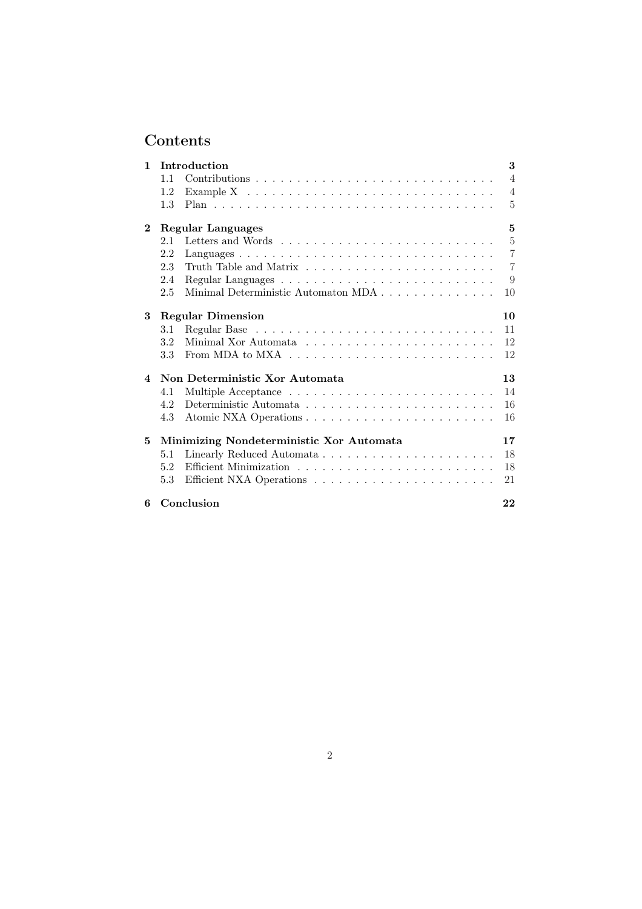## Contents

| 1                      | Introduction                               | 3              |
|------------------------|--------------------------------------------|----------------|
|                        | 1.1                                        | 4              |
|                        | 1.2                                        | $\overline{4}$ |
|                        | 1.3                                        | 5              |
| $\bf{2}$               | <b>Regular Languages</b>                   | 5              |
|                        | 2.1                                        | $\overline{5}$ |
|                        | 2.2                                        | $\overline{7}$ |
|                        | 2.3                                        | $\overline{7}$ |
|                        | 2.4                                        | 9              |
|                        | Minimal Deterministic Automaton MDA<br>2.5 | 10             |
| 3                      | <b>Regular Dimension</b>                   | 10             |
|                        | 3.1                                        | 11             |
|                        | 3.2                                        | 12             |
|                        | 3.3                                        | 12             |
| $\boldsymbol{\Lambda}$ | Non Deterministic Xor Automata             | 13             |
|                        | 4.1                                        | 14             |
|                        | 4.2                                        | 16             |
|                        | 4.3                                        | 16             |
| 5                      | Minimizing Nondeterministic Xor Automata   | 17             |
|                        | 5.1                                        | 18             |
|                        | 5.2                                        | 18             |
|                        | 5.3                                        | 21             |
| 6                      | Conclusion                                 | 22             |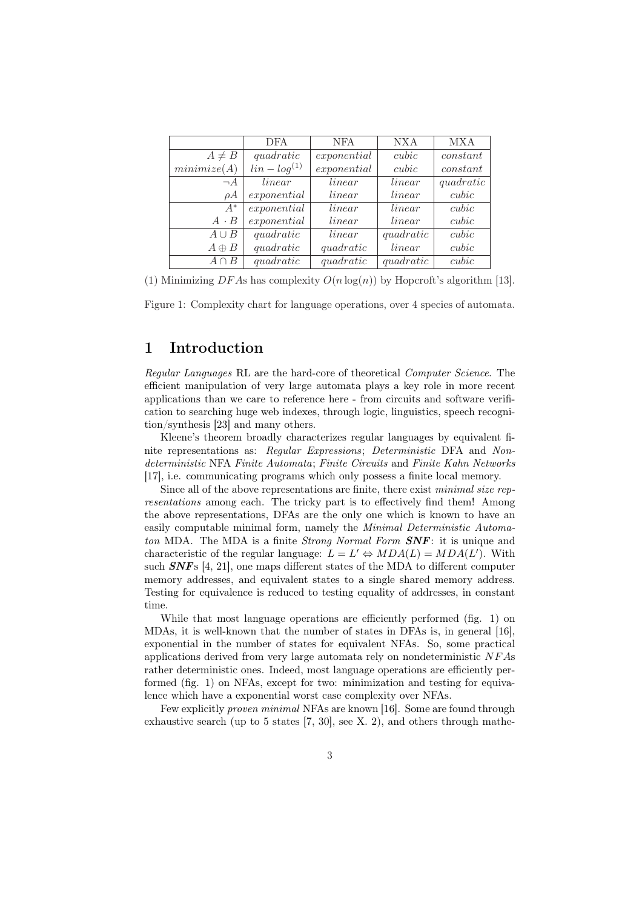|              | <b>DFA</b>         | <b>NFA</b>  | NX A      | <b>MXA</b> |
|--------------|--------------------|-------------|-----------|------------|
| $A \neq B$   | quadratic          | exponential | cubic     | constant   |
| minimize(A)  | $\lim -\log^{(1)}$ | exponential | cubic     | constant   |
| $\neg A$     | linear             | linear      | linear    | quadratic  |
| $\rho A$     | exponential        | linear      | linear    | cubic      |
| $A^*$        | exponential        | linear      | linear    | cubic      |
| $A \cdot B$  | exponential        | linear      | linear    | cubic      |
| $A \cup B$   | quadratic          | linear      | quadratic | cubic      |
| $A \oplus B$ | quadratic          | quadratic   | linear    | cubic      |
| $A \cap B$   | quadratic          | quadratic   | quadratic | cubic      |

(1) Minimizing DFAs has complexity  $O(n \log(n))$  by Hopcroft's algorithm [13].

Figure 1: Complexity chart for language operations, over 4 species of automata.

## 1 Introduction

Regular Languages RL are the hard-core of theoretical Computer Science. The efficient manipulation of very large automata plays a key role in more recent applications than we care to reference here - from circuits and software verification to searching huge web indexes, through logic, linguistics, speech recognition/synthesis [23] and many others.

Kleene's theorem broadly characterizes regular languages by equivalent finite representations as: Regular Expressions; Deterministic DFA and Nondeterministic NFA Finite Automata; Finite Circuits and Finite Kahn Networks [17], i.e. communicating programs which only possess a finite local memory.

Since all of the above representations are finite, there exist minimal size representations among each. The tricky part is to effectively find them! Among the above representations, DFAs are the only one which is known to have an easily computable minimal form, namely the Minimal Deterministic Automaton MDA. The MDA is a finite *Strong Normal Form SNF*: it is unique and characteristic of the regular language:  $L = L' \Leftrightarrow MDA(L) = MDA(L')$ . With such  $SNFs$  [4, 21], one maps different states of the MDA to different computer memory addresses, and equivalent states to a single shared memory address. Testing for equivalence is reduced to testing equality of addresses, in constant time.

While that most language operations are efficiently performed (fig. 1) on MDAs, it is well-known that the number of states in DFAs is, in general [16], exponential in the number of states for equivalent NFAs. So, some practical applications derived from very large automata rely on nondeterministic NF As rather deterministic ones. Indeed, most language operations are efficiently performed (fig. 1) on NFAs, except for two: minimization and testing for equivalence which have a exponential worst case complexity over NFAs.

Few explicitly proven minimal NFAs are known [16]. Some are found through exhaustive search (up to 5 states [7, 30], see X. 2), and others through mathe-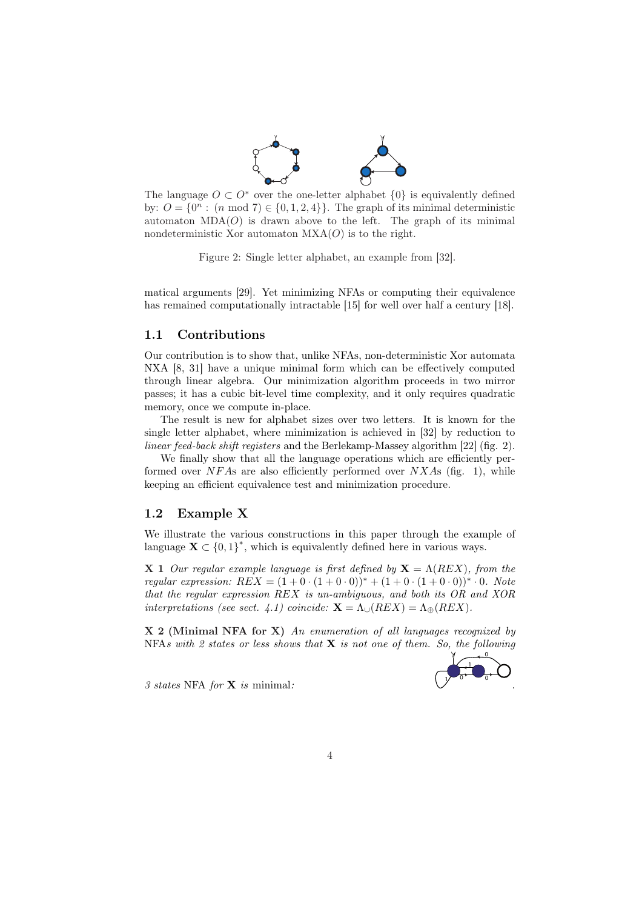

The language  $O \subset O^*$  over the one-letter alphabet  $\{0\}$  is equivalently defined by:  $O = \{0^n : (n \mod 7) \in \{0, 1, 2, 4\}\}\.$  The graph of its minimal deterministic automaton  $MDA(O)$  is drawn above to the left. The graph of its minimal nondeterministic Xor automaton  $MXA(O)$  is to the right.

Figure 2: Single letter alphabet, an example from [32].

matical arguments [29]. Yet minimizing NFAs or computing their equivalence has remained computationally intractable [15] for well over half a century [18].

### 1.1 Contributions

Our contribution is to show that, unlike NFAs, non-deterministic Xor automata NXA [8, 31] have a unique minimal form which can be effectively computed through linear algebra. Our minimization algorithm proceeds in two mirror passes; it has a cubic bit-level time complexity, and it only requires quadratic memory, once we compute in-place.

The result is new for alphabet sizes over two letters. It is known for the single letter alphabet, where minimization is achieved in [32] by reduction to linear feed-back shift registers and the Berlekamp-Massey algorithm [22] (fig. 2).

We finally show that all the language operations which are efficiently performed over  $NFAs$  are also efficiently performed over  $NXAs$  (fig. 1), while keeping an efficient equivalence test and minimization procedure.

## 1.2 Example X

We illustrate the various constructions in this paper through the example of language  $\mathbf{X} \subset \{0,1\}^*$ , which is equivalently defined here in various ways.

**X** 1 Our regular example language is first defined by  $X = \Lambda(REX)$ , from the regular expression:  $REX = (1 + 0 \cdot (1 + 0 \cdot 0))^* + (1 + 0 \cdot (1 + 0 \cdot 0))^* \cdot 0$ . Note that the regular expression REX is un-ambiguous, and both its OR and XOR interpretations (see sect. 4.1) coincide:  $\mathbf{X} = \Lambda_{\cup}(REX) = \Lambda_{\oplus}(REX)$ .

X 2 (Minimal NFA for X) An enumeration of all languages recognized by NFAs with 2 states or less shows that  $X$  is not one of them. So, the following



3 states NFA for X is minimal: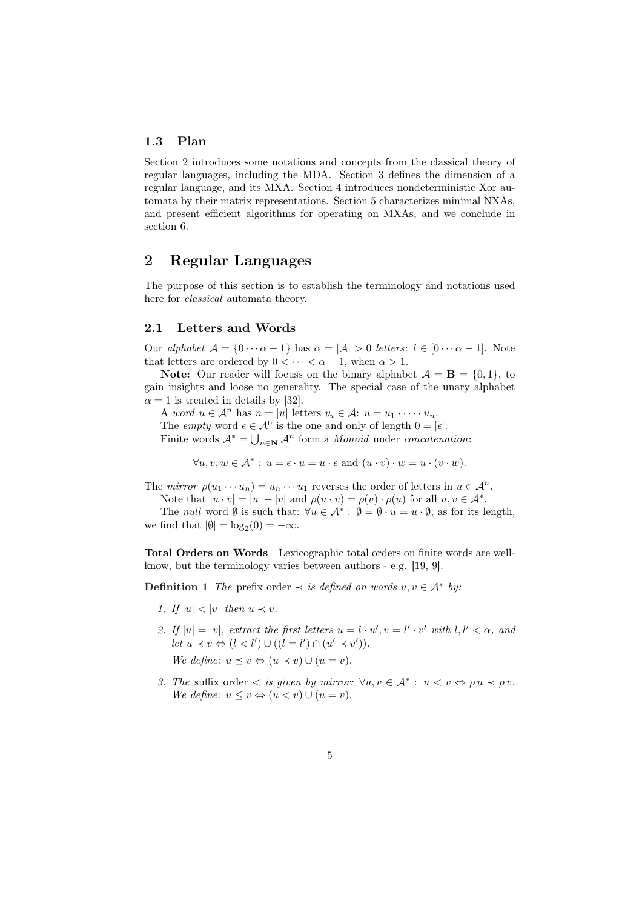## 1.3 Plan

Section 2 introduces some notations and concepts from the classical theory of regular languages, including the MDA. Section 3 defines the dimension of a regular language, and its MXA. Section 4 introduces nondeterministic Xor automata by their matrix representations. Section 5 characterizes minimal NXAs, and present efficient algorithms for operating on MXAs, and we conclude in section 6.

## 2 Regular Languages

The purpose of this section is to establish the terminology and notations used here for *classical* automata theory.

## 2.1 Letters and Words

Our alphabet  $A = \{0 \cdots \alpha - 1\}$  has  $\alpha = |A| > 0$  letters:  $l \in [0 \cdots \alpha - 1]$ . Note that letters are ordered by  $0 < \cdots < \alpha - 1$ , when  $\alpha > 1$ .

**Note:** Our reader will focuss on the binary alphabet  $\mathcal{A} = \mathbf{B} = \{0, 1\}$ , to gain insights and loose no generality. The special case of the unary alphabet  $\alpha = 1$  is treated in details by [32].

A word  $u \in \mathcal{A}^n$  has  $n = |u|$  letters  $u_i \in \mathcal{A}$ :  $u = u_1 \cdot \dots \cdot u_n$ .

The *empty* word  $\epsilon \in \mathcal{A}^0$  is the one and only of length  $0 = |\epsilon|$ .

Finite words  $\mathcal{A}^* = \bigcup_{n \in \mathbb{N}} \mathcal{A}^n$  form a *Monoid* under *concatenation*:

 $\forall u, v, w \in \mathcal{A}^* : u = \epsilon \cdot u = u \cdot \epsilon \text{ and } (u \cdot v) \cdot w = u \cdot (v \cdot w).$ 

The mirror  $\rho(u_1 \cdots u_n) = u_n \cdots u_1$  reverses the order of letters in  $u \in \mathcal{A}^n$ .

Note that  $|u \cdot v| = |u| + |v|$  and  $\rho(u \cdot v) = \rho(v) \cdot \rho(u)$  for all  $u, v \in \mathcal{A}^*$ .

The *null* word  $\emptyset$  is such that:  $\forall u \in \mathcal{A}^* : \emptyset = \emptyset \cdot u = u \cdot \emptyset$ ; as for its length, we find that  $|\emptyset| = \log_2(0) = -\infty$ .

Total Orders on Words Lexicographic total orders on finite words are wellknow, but the terminology varies between authors - e.g. [19, 9].

**Definition 1** The prefix order  $\prec$  is defined on words  $u, v \in A^*$  by:

- 1. If  $|u| < |v|$  then  $u \prec v$ .
- 2. If  $|u| = |v|$ , extract the first letters  $u = l \cdot u'$ ,  $v = l' \cdot v'$  with  $l, l' < \alpha$ , and  $let u \prec v \Leftrightarrow (l < l') \cup ((l = l') \cap (u' \prec v')).$ We define:  $u \prec v \Leftrightarrow (u \prec v) \cup (u = v)$ .
- 3. The suffix order  $\langle s \rangle$  is given by mirror:  $\forall u, v \in \mathcal{A}^* : u \langle v \rangle \Leftrightarrow \rho u \langle v \rangle$ We define:  $u \leq v \Leftrightarrow (u < v) \cup (u = v)$ .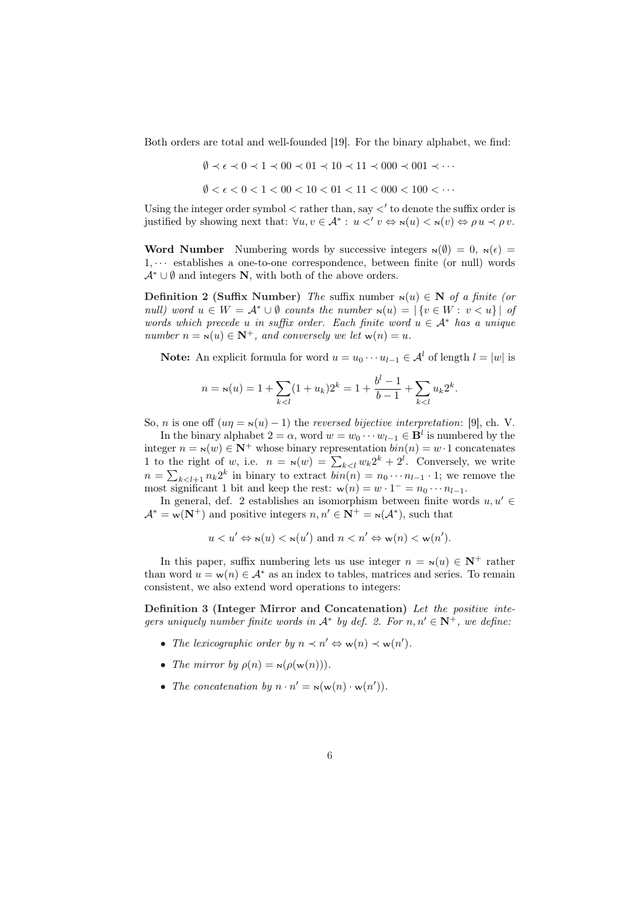Both orders are total and well-founded [19]. For the binary alphabet, we find:

$$
\emptyset \prec \epsilon \prec 0 \prec 1 \prec 00 \prec 01 \prec 10 \prec 11 \prec 000 \prec 001 \prec \cdots
$$

 $\emptyset < \epsilon < 0 < 1 < 00 < 10 < 01 < 11 < 000 < 100 < \cdots$ 

Using the integer order symbol  $\lt$  rather than, say  $\lt'$  to denote the suffix order is justified by showing next that:  $\forall u, v \in \mathcal{A}^* : u \leq v \Leftrightarrow \mathbf{N}(u) \leq \mathbf{N}(v) \Leftrightarrow \rho u \leq \rho v$ .

Word Number Numbering words by successive integers  $\mathbf{x}(\emptyset) = 0$ ,  $\mathbf{x}(\epsilon) =$  $1, \cdots$  establishes a one-to-one correspondence, between finite (or null) words  $\mathcal{A}^* \cup \emptyset$  and integers **N**, with both of the above orders.

Definition 2 (Suffix Number) The suffix number  $N(u) \in N$  of a finite (or null) word  $u \in W = \mathcal{A}^* \cup \emptyset$  counts the number  $\mathbf{N}(u) = |\{v \in W : v < u\}|$  of words which precede u in suffix order. Each finite word  $u \in A^*$  has a unique number  $n = s(u) \in \mathbb{N}^+$ , and conversely we let  $w(n) = u$ .

**Note:** An explicit formula for word  $u = u_0 \cdots u_{l-1} \in \mathcal{A}^l$  of length  $l = |w|$  is

$$
n = \mathbf{N}(u) = 1 + \sum_{k < l} (1 + u_k) 2^k = 1 + \frac{b^l - 1}{b - 1} + \sum_{k < l} u_k 2^k.
$$

So, *n* is one off  $(u\eta = \mathbf{x}(u) - 1)$  the *reversed bijective interpretation*: [9], ch. V. In the binary alphabet  $2 = \alpha$ , word  $w = w_0 \cdots w_{l-1} \in \mathbf{B}^l$  is numbered by the integer  $n = N(w) \in \mathbb{N}^+$  whose binary representation  $\text{bin}(n) = w \cdot 1$  concatenates

If to the right of w, i.e.  $n = N(w) = \sum_{k \leq l} w_k 2^k + 2^l$ . Conversely, we write  $n = \sum_{k \leq l+1} n_k 2^k$  in binary to extract  $\text{bin}(n) = n_0 \cdots n_{l-1} \cdot 1$ ; we remove the most significant 1 bit and keep the rest:  $w(n) = w \cdot 1^- = n_0 \cdots n_{l-1}$ .

In general, def. 2 establishes an isomorphism between finite words  $u, u' \in$  $\mathcal{A}^* = \mathbf{w}(\mathbf{N}^+)$  and positive integers  $n, n' \in \mathbf{N}^+ = \mathbf{w}(\mathcal{A}^*)$ , such that

$$
u < u' \Leftrightarrow \mathbf{N}(u) < \mathbf{N}(u') \text{ and } n < n' \Leftrightarrow \mathbf{w}(n) < \mathbf{w}(n').
$$

In this paper, suffix numbering lets us use integer  $n = N(u) \in \mathbb{N}^+$  rather than word  $u = w(n) \in A^*$  as an index to tables, matrices and series. To remain consistent, we also extend word operations to integers:

Definition 3 (Integer Mirror and Concatenation) Let the positive integers uniquely number finite words in  $\mathcal{A}^*$  by def. 2. For  $n, n' \in \mathbb{N}^+$ , we define:

- The lexicographic order by  $n \prec n' \Leftrightarrow \mathbf{w}(n) \prec \mathbf{w}(n').$
- The mirror by  $\rho(n) = \mathbf{N}(\rho(\mathbf{w}(n)))$ .
- The concatenation by  $n \cdot n' = \mathbf{N}(\mathbf{w}(n) \cdot \mathbf{w}(n')).$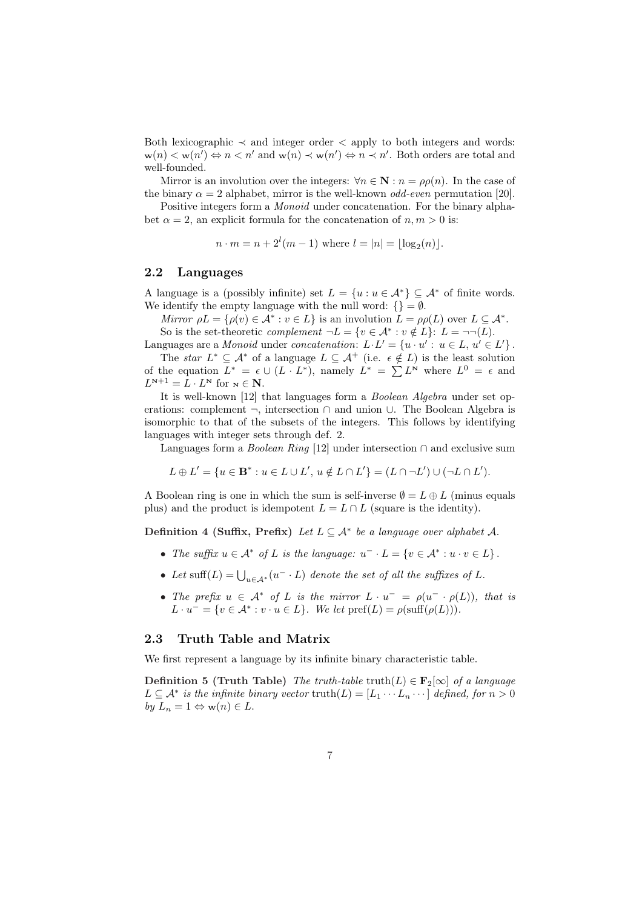Both lexicographic  $\prec$  and integer order  $\prec$  apply to both integers and words:  $w(n) < w(n') \Leftrightarrow n < n'$  and  $w(n) \prec w(n') \Leftrightarrow n \prec n'$ . Both orders are total and well-founded.

Mirror is an involution over the integers:  $\forall n \in \mathbb{N} : n = \rho \rho(n)$ . In the case of the binary  $\alpha = 2$  alphabet, mirror is the well-known *odd-even* permutation [20].

Positive integers form a Monoid under concatenation. For the binary alphabet  $\alpha = 2$ , an explicit formula for the concatenation of  $n, m > 0$  is:

 $n \cdot m = n + 2^{l}(m - 1)$  where  $l = |n| = \lfloor \log_2(n) \rfloor$ .

#### 2.2 Languages

A language is a (possibly infinite) set  $L = \{u : u \in \mathcal{A}^*\} \subseteq \mathcal{A}^*$  of finite words. We identify the empty language with the null word:  $\{\} = \emptyset$ .

Mirror  $\rho L = \{\rho(v) \in A^* : v \in L\}$  is an involution  $L = \rho \rho(L)$  over  $L \subseteq A^*$ . So is the set-theoretic *complement*  $\neg L = \{v \in \mathcal{A}^* : v \notin L\}$ :  $L = \neg\neg(L)$ .

Languages are a Monoid under concatenation:  $L \cdot L' = \{u \cdot u' : u \in L, u' \in L'\}.$ 

The star  $L^* \subseteq A^*$  of a language  $L \subseteq A^+$  (i.e.  $\epsilon \notin L$ ) is the least solution The star  $L \subseteq A$  of a language  $L \subseteq A$  (i.e.  $\epsilon \notin L$ ) is the least solution<br>of the equation  $L^* = \epsilon \cup (L \cdot L^*)$ , namely  $L^* = \sum L^N$  where  $L^0 = \epsilon$  and  $L^{N+1} = L \cdot L^N$  for  $N \in \mathbb{N}$ .

It is well-known [12] that languages form a Boolean Algebra under set operations: complement ¬, intersection ∩ and union ∪. The Boolean Algebra is isomorphic to that of the subsets of the integers. This follows by identifying languages with integer sets through def. 2.

Languages form a *Boolean Ring* [12] under intersection  $\cap$  and exclusive sum

$$
L \oplus L' = \{ u \in \mathbf{B}^* : u \in L \cup L', u \notin L \cap L' \} = (L \cap \neg L') \cup (\neg L \cap L').
$$

A Boolean ring is one in which the sum is self-inverse  $\emptyset = L \oplus L$  (minus equals plus) and the product is idempotent  $L = L \cap L$  (square is the identity).

Definition 4 (Suffix, Prefix) Let  $L \subseteq A^*$  be a language over alphabet A.

- The suffix  $u \in A^*$  of L is the language:  $u^- \cdot L = \{v \in A^* : u \cdot v \in L\}.$
- Let suff(L) =  $\bigcup_{u \in A^*} (u^- \cdot L)$  denote the set of all the suffixes of L.
- The prefix  $u \in A^*$  of L is the mirror  $L \cdot u^- = \rho(u^- \cdot \rho(L))$ , that is  $L \cdot u^- = \{v \in \mathcal{A}^* : v \cdot u \in L\}.$  We let  $\text{pref}(L) = \rho(\text{suff}(\rho(L))).$

#### 2.3 Truth Table and Matrix

We first represent a language by its infinite binary characteristic table.

Definition 5 (Truth Table) The truth-table truth(L)  $\in$  F<sub>2</sub>[∞] of a language  $L \subseteq \mathcal{A}^*$  is the infinite binary vector truth $(L) = [L_1 \cdots L_n \cdots]$  defined, for  $n > 0$ by  $L_n = 1 \Leftrightarrow w(n) \in L$ .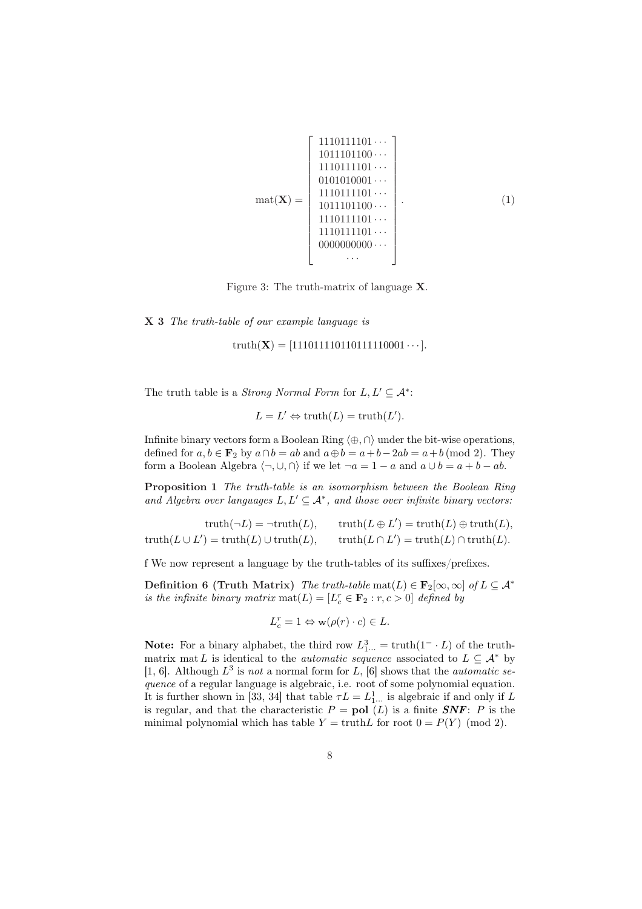$$
\text{mat}(\mathbf{X}) = \begin{bmatrix} 1110111101 \cdots \\ 1011101100 \cdots \\ 1110111101 \cdots \\ 0101010001 \cdots \\ 1110111101 \cdots \\ 1011101100 \cdots \\ 1110111101 \cdots \\ 1110111101 \cdots \\ 0000000000 \cdots \\ \cdots \end{bmatrix} . \tag{1}
$$

Figure 3: The truth-matrix of language X.

X 3 The truth-table of our example language is

truth( $X$ ) = [111011111011111110001 · · · ].

The truth table is a *Strong Normal Form* for  $L, L' \subseteq A^*$ :

$$
L = L' \Leftrightarrow \text{truth}(L) = \text{truth}(L').
$$

Infinite binary vectors form a Boolean Ring  $\langle \oplus, \cap \rangle$  under the bit-wise operations, defined for  $a, b \in \mathbf{F}_2$  by  $a \cap b = ab$  and  $a \oplus b = a + b - 2ab = a + b \pmod{2}$ . They form a Boolean Algebra  $\langle \neg, \bigcup, \bigcap \rangle$  if we let  $\neg a = 1 - a$  and  $a \cup b = a + b - ab$ .

Proposition 1 The truth-table is an isomorphism between the Boolean Ring and Algebra over languages  $L, L' \subseteq A^*$ , and those over infinite binary vectors:

truth( $\neg L$ ) =  $\neg \text{truth}(L)$ ,  $\mathcal{O}$  = truth $(L) \oplus \text{truth}(L),$ truth $(L \cup L') = \text{truth}(L) \cup \text{truth}(L), \quad \text{truth}(L \cap L)$  $\mathcal{O}$  = truth $(L) \cap \text{truth}(L)$ .

f We now represent a language by the truth-tables of its suffixes/prefixes.

Definition 6 (Truth Matrix) The truth-table mat(L)  $\in$   $\mathbf{F}_2[\infty,\infty]$  of  $L \subseteq \mathcal{A}^*$ is the infinite binary matrix  $\text{mat}(L) = [L_c^r \in \mathbf{F}_2 : r, c > 0]$  defined by

$$
L_c^r = 1 \Leftrightarrow \mathbf{w}(\rho(r) \cdot c) \in L.
$$

**Note:** For a binary alphabet, the third row  $L_{1}^3$  = truth $(1 - L)$  of the truthmatrix mat L is identical to the *automatic sequence* associated to  $L \subseteq A^*$  by [1, 6]. Although  $L^3$  is not a normal form for L, [6] shows that the *automatic se*quence of a regular language is algebraic, i.e. root of some polynomial equation. It is further shown in [33, 34] that table  $\tau L = L_1^1$ . is algebraic if and only if L is regular, and that the characteristic  $P = \text{pol } (L)$  is a finite  $\text{SNF}: P$  is the minimal polynomial which has table  $Y = \text{truth}L$  for root  $0 = P(Y) \pmod{2}$ .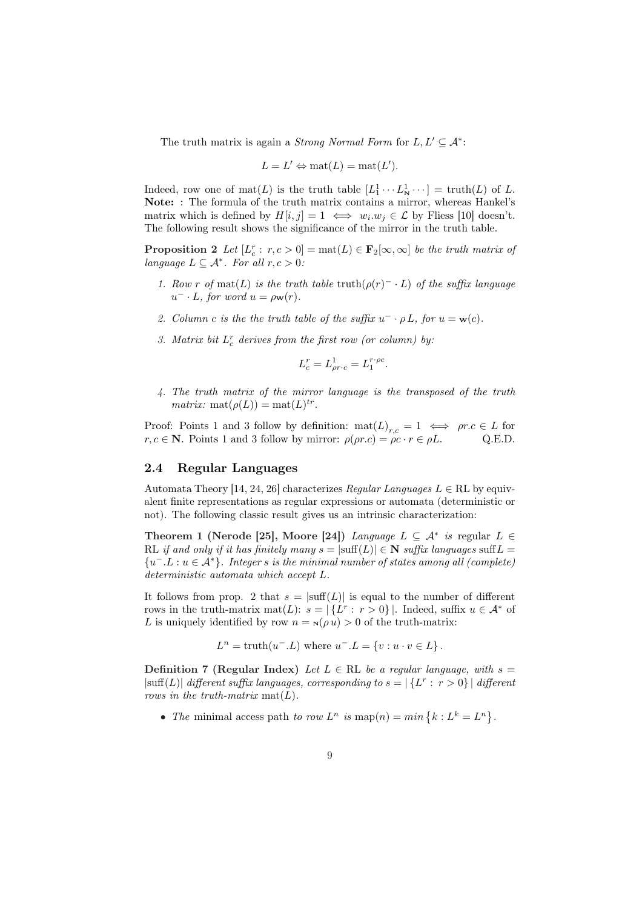The truth matrix is again a *Strong Normal Form* for  $L, L' \subseteq A^*$ :

$$
L = L' \Leftrightarrow \text{mat}(L) = \text{mat}(L').
$$

Indeed, row one of  $\text{mat}(L)$  is the truth table  $[L_1^1 \cdots L_N^1 \cdots] = \text{truth}(L)$  of L. Note: : The formula of the truth matrix contains a mirror, whereas Hankel's matrix which is defined by  $H[i, j] = 1 \iff w_i \cdot w_j \in \mathcal{L}$  by Fliess [10] doesn't. The following result shows the significance of the mirror in the truth table.

**Proposition 2** Let  $[L_c^r : r, c > 0] = \text{mat}(L) \in \mathbf{F}_2[\infty, \infty]$  be the truth matrix of language  $L \subseteq \mathcal{A}^*$ . For all  $r, c > 0$ :

- 1. Row r of mat(L) is the truth table truth( $\rho(r)^{-} \cdot L$ ) of the suffix language  $u^- \cdot L$ , for word  $u = \rho \mathbf{w}(r)$ .
- 2. Column c is the the truth table of the suffix  $u^- \cdot \rho L$ , for  $u = w(c)$ .
- 3. Matrix bit  $L_c^r$  derives from the first row (or column) by:

$$
L_c^r = L_{\rho r \cdot c}^1 = L_1^{r \cdot \rho c}.
$$

4. The truth matrix of the mirror language is the transposed of the truth *matrix:* mat $(\rho(L)) = \text{mat}(L)^{tr}$ .

Proof: Points 1 and 3 follow by definition:  $\text{mat}(L)_{r,c} = 1 \iff pr.c \in L$  for  $r, c \in \mathbb{N}$ . Points 1 and 3 follow by mirror:  $\rho(\rho r.c) = \rho c \cdot r \in \rho L$ . Q.E.D.

### 2.4 Regular Languages

Automata Theory [14, 24, 26] characterizes Regular Languages  $L \in \mathbb{RL}$  by equivalent finite representations as regular expressions or automata (deterministic or not). The following classic result gives us an intrinsic characterization:

Theorem 1 (Nerode [25], Moore [24]) Language  $L \subseteq A^*$  is regular  $L \in$ RL if and only if it has finitely many  $s = |\text{suffix} (L)| \in \mathbb{N}$  suffix languages suff  $L =$  ${u^-}.L: u \in \mathcal{A}^*$ . Integer s is the minimal number of states among all (complete) deterministic automata which accept L.

It follows from prop. 2 that  $s = |\text{suffix}(L)|$  is equal to the number of different rows in the truth-matrix mat(L):  $s = |\{L^r : r > 0\}|$ . Indeed, suffix  $u \in A^*$  of L is uniquely identified by row  $n = N(\rho u) > 0$  of the truth-matrix:

 $L^n = \text{truth}(u^-.L)$  where  $u^-.L = \{v : u \cdot v \in L\}.$ 

Definition 7 (Regular Index) Let  $L \in \mathbb{RL}$  be a regular language, with  $s =$  $|\text{suffix languages, corresponding to } s = |\{L^r : r > 0\}| \text{ different}$ rows in the truth-matrix  $\text{mat}(L)$ .

• The minimal access path to row  $L^n$  is map(n) = min  ${k : L^k = L^n}$ .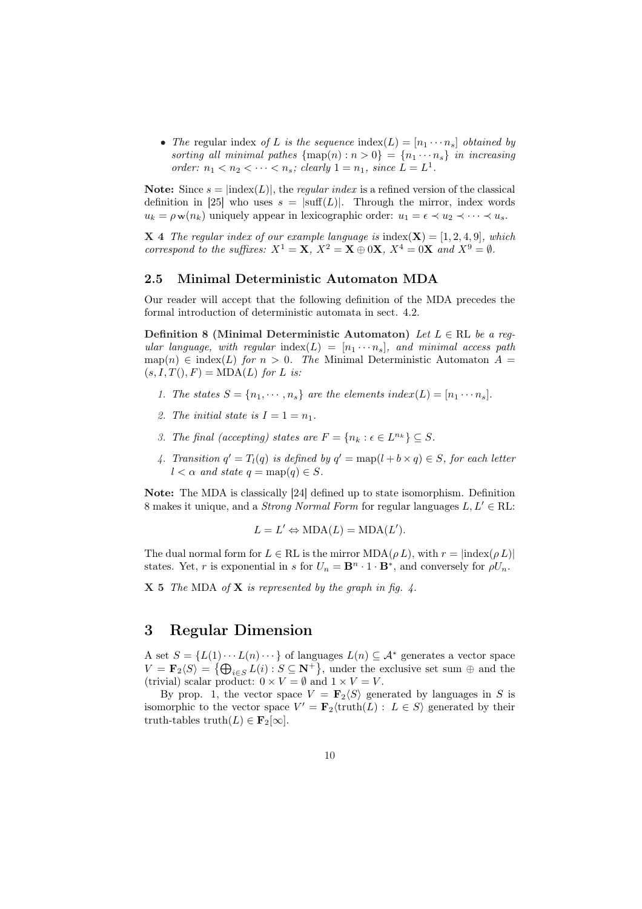• The regular index of L is the sequence index(L) =  $[n_1 \cdots n_s]$  obtained by sorting all minimal pathes  $\{ \text{map}(n) : n > 0 \} = \{ n_1 \cdots n_s \}$  in increasing order:  $n_1 < n_2 < \cdots < n_s$ ; clearly  $1 = n_1$ , since  $L = L^1$ .

**Note:** Since  $s = \text{index}(L)$ , the *regular index* is a refined version of the classical definition in [25] who uses  $s = |\text{suffix}(L)|$ . Through the mirror, index words  $u_k = \rho \mathbf{w}(n_k)$  uniquely appear in lexicographic order:  $u_1 = \epsilon \prec u_2 \prec \cdots \prec u_s$ .

**X** 4 The regular index of our example language is index( $X$ ) = [1, 2, 4, 9], which correspond to the suffixes:  $X^1 = \mathbf{X}$ ,  $X^2 = \mathbf{X} \oplus 0\mathbf{X}$ ,  $X^4 = 0\mathbf{X}$  and  $X^9 = \emptyset$ .

## 2.5 Minimal Deterministic Automaton MDA

Our reader will accept that the following definition of the MDA precedes the formal introduction of deterministic automata in sect. 4.2.

Definition 8 (Minimal Deterministic Automaton) Let  $L \in \mathbb{RL}$  be a regular language, with regular index(L) =  $[n_1 \cdots n_s]$ , and minimal access path map(n)  $\in$  index(L) for  $n > 0$ . The Minimal Deterministic Automaton  $A =$  $(s, I, T(), F) = MDA(L)$  for L is:

- 1. The states  $S = \{n_1, \dots, n_s\}$  are the elements index(L) =  $[n_1 \cdots n_s]$ .
- 2. The initial state is  $I = 1 = n_1$ .
- 3. The final (accepting) states are  $F = \{n_k : \epsilon \in L^{n_k}\} \subseteq S$ .
- 4. Transition  $q' = T_l(q)$  is defined by  $q' = \text{map}(l + b \times q) \in S$ , for each letter  $l < \alpha$  and state  $q = \text{map}(q) \in S$ .

Note: The MDA is classically [24] defined up to state isomorphism. Definition 8 makes it unique, and a *Strong Normal Form* for regular languages  $L, L' \in \mathbb{RL}$ :

$$
L = L' \Leftrightarrow \text{MDA}(L) = \text{MDA}(L').
$$

The dual normal form for  $L \in \text{RL}$  is the mirror  $MDA(\rho L)$ , with  $r = |index(\rho L)|$ states. Yet, r is exponential in s for  $U_n = \mathbf{B}^n \cdot 1 \cdot \mathbf{B}^*$ , and conversely for  $\rho U_n$ .

 $X 5$  The MDA of  $X$  is represented by the graph in fig. 4.

## 3 Regular Dimension

A set  $S = \{L(1) \cdots L(n) \cdots\}$  of languages  $L(n) \subseteq A^*$  generates a vector space  $V = \mathbf{F}_2 \langle S \rangle = \{ \bigoplus_{i \in S} L(i) : S \subseteq \mathbf{N}^+ \},$  under the exclusive set sum  $\oplus$  and the (trivial) scalar product:  $0 \times V = \emptyset$  and  $1 \times V = V$ .

By prop. 1, the vector space  $V = \mathbf{F}_2\langle S \rangle$  generated by languages in S is isomorphic to the vector space  $V' = \mathbf{F}_2(\text{truth}(L) : L \in S)$  generated by their truth-tables truth $(L) \in \mathbf{F}_2[\infty]$ .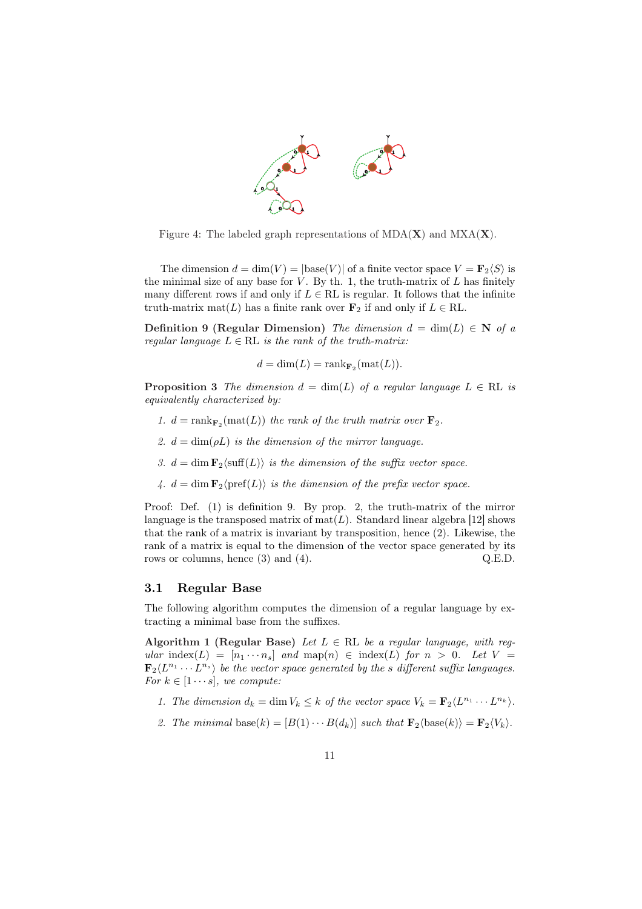

Figure 4: The labeled graph representations of  $MDA(X)$  and  $MXA(X)$ .

The dimension  $d = \dim(V) = |\text{base}(V)|$  of a finite vector space  $V = \mathbf{F}_2\langle S \rangle$  is the minimal size of any base for  $V$ . By th. 1, the truth-matrix of  $L$  has finitely many different rows if and only if  $L \in \mathrm{RL}$  is regular. It follows that the infinite truth-matrix mat(L) has a finite rank over  $\mathbf{F}_2$  if and only if  $L \in \mathrm{RL}$ .

Definition 9 (Regular Dimension) The dimension  $d = \dim(L) \in N$  of a regular language  $L \in \mathrm{RL}$  is the rank of the truth-matrix:

 $d = \dim(L) = \text{rank}_{\mathbf{F}_2}(\text{mat}(L)).$ 

**Proposition 3** The dimension  $d = \dim(L)$  of a regular language  $L \in \mathbb{RL}$  is equivalently characterized by:

- 1.  $d = \text{rank}_{\mathbf{F}_2}(\text{mat}(L))$  the rank of the truth matrix over  $\mathbf{F}_2$ .
- 2.  $d = \dim(\rho L)$  is the dimension of the mirror language.
- 3.  $d = \dim \mathbf{F}_2(\text{suffix}(L))$  is the dimension of the suffix vector space.
- 4.  $d = \dim \mathbf{F}_2\langle \text{pref}(L)\rangle$  is the dimension of the prefix vector space.

Proof: Def. (1) is definition 9. By prop. 2, the truth-matrix of the mirror language is the transposed matrix of  $text(L)$ . Standard linear algebra [12] shows that the rank of a matrix is invariant by transposition, hence (2). Likewise, the rank of a matrix is equal to the dimension of the vector space generated by its rows or columns, hence (3) and (4).  $Q.E.D.$ 

#### 3.1 Regular Base

The following algorithm computes the dimension of a regular language by extracting a minimal base from the suffixes.

Algorithm 1 (Regular Base) Let  $L \in \mathbb{RL}$  be a regular language, with regular index $(L) = [n_1 \cdots n_s]$  and map $(n) \in \text{index}(L)$  for  $n > 0$ . Let  $V =$  $\mathbf{F}_2\langle L^{n_1}\cdots L^{n_s}\rangle$  be the vector space generated by the s different suffix languages. For  $k \in [1 \cdots s]$ , we compute:

- 1. The dimension  $d_k = \dim V_k \leq k$  of the vector space  $V_k = \mathbf{F}_2 \langle L^{n_1} \cdots L^{n_k} \rangle$ .
- 2. The minimal base(k) =  $[B(1) \cdots B(d_k)]$  such that  $\mathbf{F}_2$  $\langle$ base(k)) =  $\mathbf{F}_2$  $\langle V_k \rangle$ .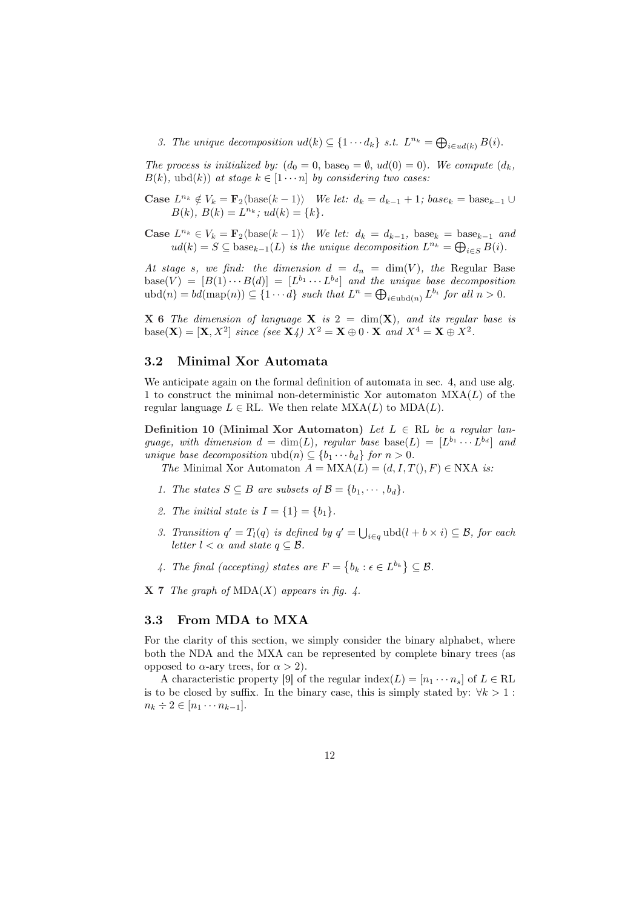3. The unique decomposition  $ud(k) \subseteq \{1 \cdots d_k\}$  s.t.  $L^{n_k} = \bigoplus_{i \in ud(k)} B(i)$ .

The process is initialized by:  $(d_0 = 0, \text{base}_0 = \emptyset, \text{ud}(0) = 0)$ . We compute  $(d_k,$  $B(k)$ , ubd $(k)$ ) at stage  $k \in [1 \cdots n]$  by considering two cases:

Case  $L^{n_k} \notin V_k = \mathbf{F}_2 \langle \text{base}(k-1) \rangle$  We let:  $d_k = d_{k-1} + 1$ ;  $base_k = base_{k-1} \cup$  $B(k), B(k) = L^{n_k}; u d(k) = \{k\}.$ 

Case  $L^{n_k} \in V_k = \mathbf{F}_2$ (base $(k-1)$ ) We let:  $d_k = d_{k-1}$ , base $k = base_{k-1}$  and  $L^{n_k} \in V_k = \mathbf{F}_2(\text{base}(k-1))$  we let:  $a_k = a_{k-1}$ ,  $\text{base}_k = \text{base}_{k-1}$  and  $d(k) = S \subseteq \text{base}_{k-1}(L)$  is the unique decomposition  $L^{n_k} = \bigoplus_{i \in S} B(i)$ .

At stage s, we find: the dimension  $d = d_n = \dim(V)$ , the Regular Base base(V) =  $[B(1) \cdots B(d)] = [L^{b_1} \cdots L^{b_d}]$  and the unique base decomposition  $\text{base}(V) = [B(1) \cdots B(d)] = [L^1 \cdots L^{n}]$  and the unique base decomposition  $\text{index}(n) = bd(\text{map}(n)) \subseteq \{1 \cdots d\}$  such that  $L^n = \bigoplus_{i \in \text{ubd}(n)} L^{b_i}$  for all  $n > 0$ .

**X 6** The dimension of language **X** is  $2 = \dim(X)$ , and its regular base is base( $\mathbf{X}$ ) = [ $\mathbf{X}, X^2$ ] since (see  $\mathbf{X}_4$ )  $X^2 = \mathbf{X} \oplus 0 \cdot \mathbf{X}$  and  $X^4 = \mathbf{X} \oplus X^2$ .

## 3.2 Minimal Xor Automata

We anticipate again on the formal definition of automata in sec. 4, and use alg. 1 to construct the minimal non-deterministic Xor automaton  $MXA(L)$  of the regular language  $L \in \text{RL}$ . We then relate  $\text{MXA}(L)$  to  $\text{MDA}(L)$ .

Definition 10 (Minimal Xor Automaton) Let  $L \in \mathbb{RL}$  be a regular language, with dimension  $d = \dim(L)$ , regular base base $(L) = [L^{b_1} \cdots L^{b_d}]$  and unique base decomposition  $ubd(n) \subseteq \{b_1 \cdots b_d\}$  for  $n > 0$ .

The Minimal Xor Automaton  $A = MXA(L) = (d, I, T(), F) \in NXA$  is:

- 1. The states  $S \subseteq B$  are subsets of  $\mathcal{B} = \{b_1, \cdots, b_d\}.$
- 2. The initial state is  $I = \{1\} = \{b_1\}.$
- 3. Transition  $q' = T_l(q)$  is defined by  $q' = \bigcup$  $i \in q}$  ubd $(l + b \times i) \subseteq \mathcal{B}$ , for each letter  $l < \alpha$  and state  $q \subseteq \mathcal{B}$ .
- 4. The final (accepting) states are  $F =$ ©  $b_k : \epsilon \in L^{b_k}$  $\subseteq \mathcal{B}$ .

 $X 7$  The graph of MDA(X) appears in fig. 4.

#### 3.3 From MDA to MXA

For the clarity of this section, we simply consider the binary alphabet, where both the NDA and the MXA can be represented by complete binary trees (as opposed to  $\alpha$ -ary trees, for  $\alpha > 2$ ).

A characteristic property [9] of the regular index( $L$ ) =  $[n_1 \cdots n_s]$  of  $L \in \mathrm{RL}$ is to be closed by suffix. In the binary case, this is simply stated by:  $\forall k > 1$ :  $n_k \div 2 \in [n_1 \cdots n_{k-1}].$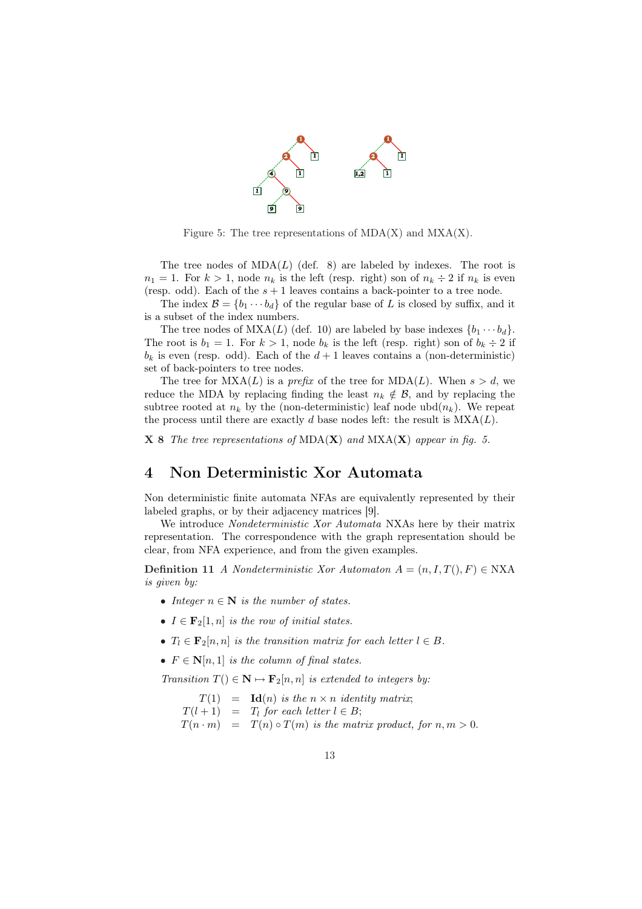

Figure 5: The tree representations of  $MDA(X)$  and  $MXA(X)$ .

The tree nodes of  $MDA(L)$  (def. 8) are labeled by indexes. The root is  $n_1 = 1$ . For  $k > 1$ , node  $n_k$  is the left (resp. right) son of  $n_k \div 2$  if  $n_k$  is even (resp. odd). Each of the  $s + 1$  leaves contains a back-pointer to a tree node.

The index  $\mathcal{B} = \{b_1 \cdots b_d\}$  of the regular base of L is closed by suffix, and it is a subset of the index numbers.

The tree nodes of  $MXA(L)$  (def. 10) are labeled by base indexes  $\{b_1 \cdots b_d\}$ . The root is  $b_1 = 1$ . For  $k > 1$ , node  $b_k$  is the left (resp. right) son of  $b_k \div 2$  if  $b_k$  is even (resp. odd). Each of the  $d+1$  leaves contains a (non-deterministic) set of back-pointers to tree nodes.

The tree for  $MXA(L)$  is a *prefix* of the tree for  $MDA(L)$ . When  $s > d$ , we reduce the MDA by replacing finding the least  $n_k \notin \mathcal{B}$ , and by replacing the subtree rooted at  $n_k$  by the (non-deterministic) leaf node ubd $(n_k)$ . We repeat the process until there are exactly d base nodes left: the result is  $MXA(L)$ .

**X 8** The tree representations of  $MDA(X)$  and  $MXA(X)$  appear in fig. 5.

## 4 Non Deterministic Xor Automata

Non deterministic finite automata NFAs are equivalently represented by their labeled graphs, or by their adjacency matrices [9].

We introduce Nondeterministic Xor Automata NXAs here by their matrix representation. The correspondence with the graph representation should be clear, from NFA experience, and from the given examples.

Definition 11 A Nondeterministic Xor Automaton  $A = (n, I, T(), F) \in NXA$ is given by:

- Integer  $n \in \mathbb{N}$  is the number of states.
- $I \in \mathbf{F}_2[1,n]$  is the row of initial states.
- $T_l \in \mathbf{F}_2[n,n]$  is the transition matrix for each letter  $l \in B$ .
- $F \in \mathbb{N}[n,1]$  is the column of final states.

Transition  $T() \in \mathbb{N} \mapsto \mathbf{F}_2[n, n]$  is extended to integers by:

 $T(1) = Id(n)$  is the  $n \times n$  identity matrix;  $T(l + 1) = T_l$  for each letter  $l \in B$ ;

 $T(n \cdot m) = T(n) \circ T(m)$  is the matrix product, for  $n, m > 0$ .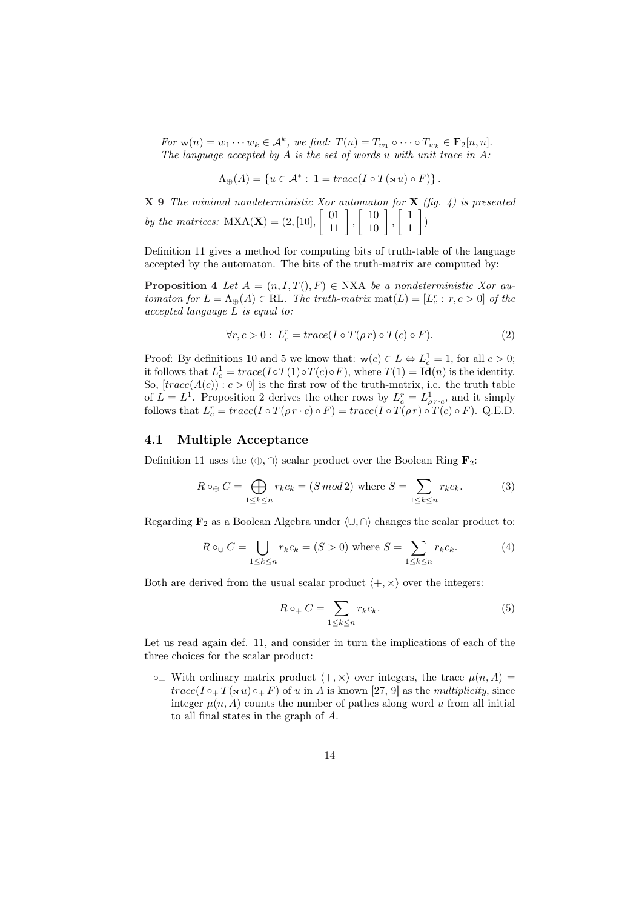For  $\mathbf{w}(n) = w_1 \cdots w_k \in \mathcal{A}^k$ , we find:  $T(n) = T_{w_1} \circ \cdots \circ T_{w_k} \in \mathbf{F}_2[n, n]$ . The language accepted by  $A$  is the set of words u with unit trace in  $A$ :

$$
\Lambda_{\oplus}(A) = \{ u \in \mathcal{A}^* : 1 = \operatorname{trace}(I \circ T(\mathbf{w} u) \circ F) \}.
$$

**X 9** The minimal nondeterministic Xor automaton for  $X$  (fig. 4) is presented  $\mathbf{X}$  **9** The minimal nondeterministic Xor automaton for 2<br>by the matrices:  $\text{MXA}(\mathbf{X}) = (2, [10], \begin{bmatrix} 01 \\ 11 \end{bmatrix}, \begin{bmatrix} 10 \\ 10 \end{bmatrix}, \begin{bmatrix} 1 \\ 1 \end{bmatrix}$  $\begin{pmatrix} 1 \\ 1 \end{pmatrix}$ 

Definition 11 gives a method for computing bits of truth-table of the language accepted by the automaton. The bits of the truth-matrix are computed by:

**Proposition 4** Let  $A = (n, I, T(), F) \in NXA$  be a nondeterministic Xor automaton for  $L = \Lambda_{\oplus}(A) \in \text{RL}$ . The truth-matrix  $\text{mat}(L) = [L_c^r : r, c > 0]$  of the accepted language L is equal to:

$$
\forall r, c > 0: L_c^r = trace(I \circ T(\rho r) \circ T(c) \circ F).
$$
 (2)

Proof: By definitions 10 and 5 we know that:  $w(c) \in L \Leftrightarrow L_c^1 = 1$ , for all  $c > 0$ ; it follows that  $L_c^1 = trace(I \circ T(1) \circ T(c) \circ F)$ , where  $T(1) = Id(n)$  is the identity. So,  $\left[trace(A(c)) : c > 0\right]$  is the first row of the truth-matrix, i.e. the truth table of  $L = L^1$ . Proposition 2 derives the other rows by  $L_c^r = L_{\rho r \cdot c}^1$ , and it simply follows that  $L_c^r = trace(I \circ T(\rho r \cdot c) \circ F) = trace(I \circ T(\rho r) \circ T(c) \circ F)$ . Q.E.D.

#### 4.1 Multiple Acceptance

Definition 11 uses the  $\langle \oplus, \cap \rangle$  scalar product over the Boolean Ring  $\mathbf{F}_2$ :

$$
R \circ_{\oplus} C = \bigoplus_{1 \le k \le n} r_k c_k = (S \bmod 2) \text{ where } S = \sum_{1 \le k \le n} r_k c_k.
$$
 (3)

Regarding  $\mathbf{F}_2$  as a Boolean Algebra under  $\langle \cup, \cap \rangle$  changes the scalar product to:

$$
R \circ_{\cup} C = \bigcup_{1 \le k \le n} r_k c_k = (S > 0) \text{ where } S = \sum_{1 \le k \le n} r_k c_k.
$$
 (4)

Both are derived from the usual scalar product  $\langle +, \times \rangle$  over the integers:

$$
R \circ_+ C = \sum_{1 \le k \le n} r_k c_k. \tag{5}
$$

Let us read again def. 11, and consider in turn the implications of each of the three choices for the scalar product:

 $\circ_+$  With ordinary matrix product  $\langle +, \times \rangle$  over integers, the trace  $\mu(n, A)$  $trace(I \circ _+ T(\le u) \circ _+ F)$  of u in A is known [27, 9] as the multiplicity, since integer  $\mu(n, A)$  counts the number of pathes along word u from all initial to all final states in the graph of A.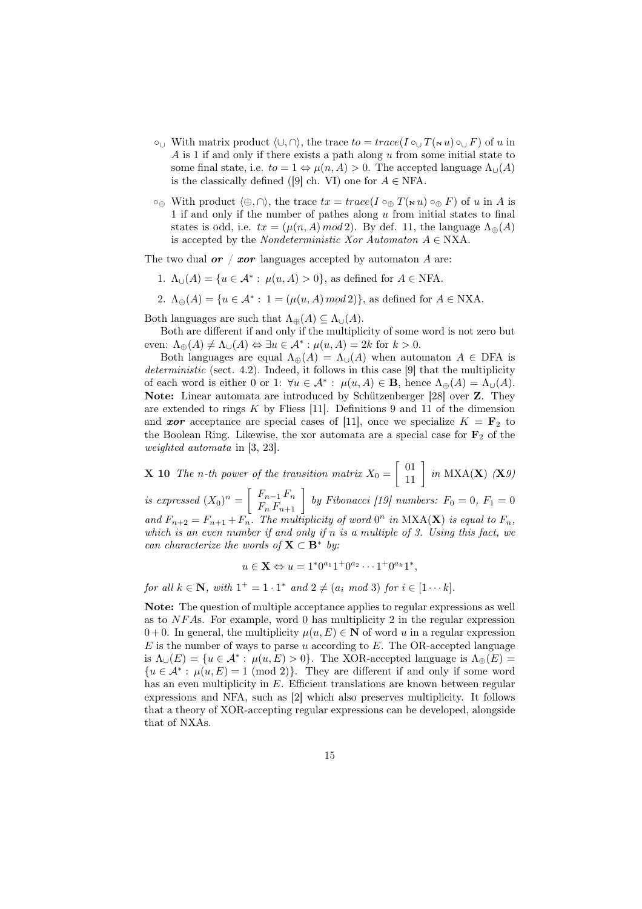- $\circ_{\cup}$  With matrix product  $\langle \cup, \cap \rangle$ , the trace to = trace(I  $\circ_{\cup} T(\mathbf{N} u) \circ_{\cup} F$ ) of u in  $A$  is 1 if and only if there exists a path along  $u$  from some initial state to some final state, i.e.  $to = 1 \Leftrightarrow \mu(n, A) > 0$ . The accepted language  $\Lambda_{\cup}(A)$ is the classically defined ([9] ch. VI) one for  $A \in NFA$ .
- $\circ_{\oplus}$  With product  $\langle \oplus, \cap \rangle$ , the trace  $tx = trace(I \circ_{\oplus} T(\mathbf{w} u) \circ_{\oplus} F)$  of u in A is 1 if and only if the number of pathes along u from initial states to final states is odd, i.e.  $tx = (\mu(n, A) \mod 2)$ . By def. 11, the language  $\Lambda_{\oplus}(A)$ is accepted by the *Nondeterministic Xor Automaton*  $A \in NXA$ .

The two dual  $or / xor$  languages accepted by automaton A are:

- 1.  $\Lambda_{\cup}(A) = \{u \in \mathcal{A}^* : \mu(u, A) > 0\}$ , as defined for  $A \in \text{NFA}$ .
- 2.  $\Lambda_{\oplus}(A) = \{u \in \mathcal{A}^* : 1 = (\mu(u, A) \mod 2)\}\$ , as defined for  $A \in NXA$ .

Both languages are such that  $\Lambda_{\oplus}(A) \subseteq \Lambda_{\cup}(A)$ .

Both are different if and only if the multiplicity of some word is not zero but even:  $\Lambda_{\oplus}(A) \neq \Lambda_{\cup}(A) \Leftrightarrow \exists u \in \mathcal{A}^* : \mu(u, A) = 2k$  for  $k > 0$ .

Both languages are equal  $\Lambda_{\oplus}(A) = \Lambda_{\cup}(A)$  when automaton  $A \in$  DFA is deterministic (sect. 4.2). Indeed, it follows in this case [9] that the multiplicity of each word is either 0 or 1:  $\forall u \in \mathcal{A}^* : \mu(u, A) \in \mathbf{B}$ , hence  $\Lambda_{\oplus}(A) = \Lambda_{\cup}(A)$ . Note: Linear automata are introduced by Schützenberger [28] over Z. They are extended to rings  $K$  by Fliess [11]. Definitions 9 and 11 of the dimension and **xor** acceptance are special cases of [11], once we specialize  $K = \mathbf{F}_2$  to the Boolean Ring. Likewise, the xor automata are a special case for  $F_2$  of the weighted automata in [3, 23].

**X** 10 The n-th power of the transition matrix  $X_0 =$  $\left[\begin{array}{c} 01 \\ 11 \end{array}\right]$  in MXA(**X**)  $(\mathbf{X}\theta)$ is expressed  $(X_0)^n = \begin{bmatrix} F_{n-1}F_n \ F_nF_{n+1} \end{bmatrix}$  by Fibonacci [19] numbers:  $F_0 = 0$ ,  $F_1 = 0$ · and  $F_{n+2} = F_{n+1} + F_n$ . The multiplicity of word  $0^n$  in  $NXA(X)$  is equal to  $F_n$ , which is an even number if and only if n is a multiple of 3. Using this fact, we can characterize the words of  $X \subset B^*$  by:

$$
u \in \mathbf{X} \Leftrightarrow u = 1^*0^{a_1}1^+0^{a_2}\cdots 1^+0^{a_k}1^*,
$$

for all  $k \in \mathbb{N}$ , with  $1^+ = 1 \cdot 1^*$  and  $2 \neq (a_i \mod 3)$  for  $i \in [1 \cdots k]$ .

Note: The question of multiple acceptance applies to regular expressions as well as to  $NFAs$ . For example, word 0 has multiplicity 2 in the regular expression  $0 + 0$ . In general, the multiplicity  $\mu(u, E) \in \mathbb{N}$  of word u in a regular expression  $E$  is the number of ways to parse u according to  $E$ . The OR-accepted language is  $\Lambda_{\cup}(E) = \{u \in \mathcal{A}^* : \mu(u, E) > 0\}.$  The XOR-accepted language is  $\Lambda_{\oplus}(E) =$  ${u \in \mathcal{A}^* : \mu(u, E) = 1 \pmod{2}}$ . They are different if and only if some word has an even multiplicity in E. Efficient translations are known between regular expressions and NFA, such as [2] which also preserves multiplicity. It follows that a theory of XOR-accepting regular expressions can be developed, alongside that of NXAs.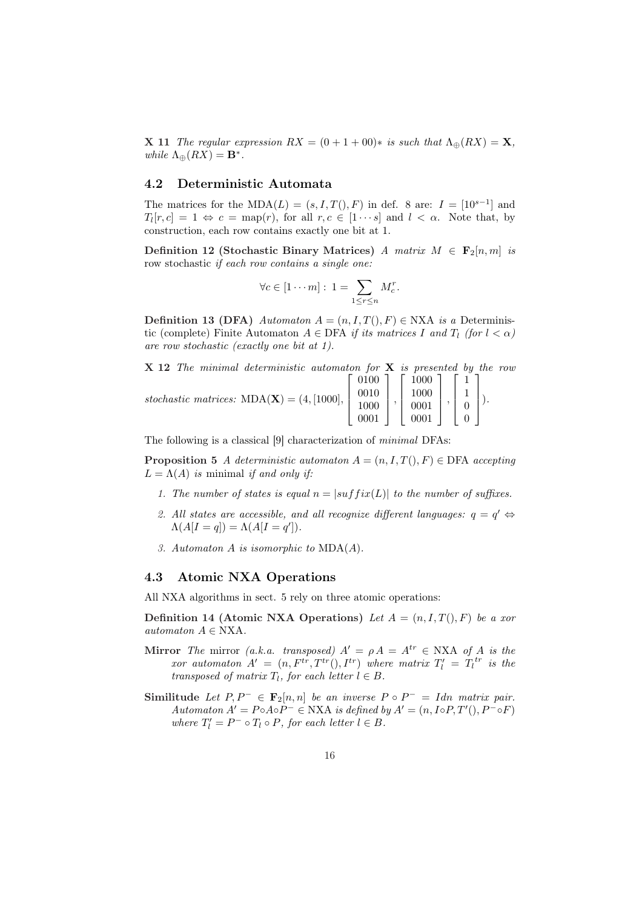**X** 11 The regular expression  $RX = (0 + 1 + 00)*$  is such that  $\Lambda_{\oplus}(RX) = \mathbf{X}$ , while  $\Lambda_{\oplus}(RX) = \mathbf{B}^*$ .

#### 4.2 Deterministic Automata

The matrices for the MDA( $L$ ) =  $(s, I, T()$ , F) in def. 8 are:  $I = [10^{s-1}]$  and  $T_l[r,c] = 1 \Leftrightarrow c = \text{map}(r)$ , for all  $r, c \in [1 \cdots s]$  and  $l < \alpha$ . Note that, by construction, each row contains exactly one bit at 1.

Definition 12 (Stochastic Binary Matrices) A matrix  $M \in \mathbf{F}_2[n,m]$  is row stochastic if each row contains a single one:

$$
\forall c \in [1 \cdots m]: 1 = \sum_{1 \leq r \leq n} M_c^r.
$$

Definition 13 (DFA) Automaton  $A = (n, I, T(), F) \in NXA$  is a Deterministic (complete) Finite Automaton  $A \in \text{DFA}$  if its matrices I and  $T_l$  (for  $l < \alpha$ ) are row stochastic (exactly one bit at 1).

| $X$ 12 The minimal deterministic automaton for $X$ is presented by the row                                                                                                                                                    |  |  |  |  |  |  |
|-------------------------------------------------------------------------------------------------------------------------------------------------------------------------------------------------------------------------------|--|--|--|--|--|--|
|                                                                                                                                                                                                                               |  |  |  |  |  |  |
|                                                                                                                                                                                                                               |  |  |  |  |  |  |
|                                                                                                                                                                                                                               |  |  |  |  |  |  |
| stochastic matrices: $MDA(\mathbf{X}) = (4, [1000], \begin{bmatrix} 0100 \\ 0010 \\ 1000 \\ 0001 \end{bmatrix}, \begin{bmatrix} 1000 \\ 1000 \\ 0001 \\ 0001 \end{bmatrix}, \begin{bmatrix} 1 \\ 1 \\ 0 \\ 0 \end{bmatrix}).$ |  |  |  |  |  |  |

The following is a classical [9] characterization of minimal DFAs:

**Proposition 5** A deterministic automaton  $A = (n, I, T), F \in \text{DFA}$  accepting  $L = \Lambda(A)$  is minimal if and only if:

- 1. The number of states is equal  $n = |suffix(L)|$  to the number of suffixes.
- 2. All states are accessible, and all recognize different languages:  $q = q' \Leftrightarrow$  $\Lambda(A[I = q]) = \Lambda(A[I = q']).$
- 3. Automaton A is isomorphic to MDA(A).

## 4.3 Atomic NXA Operations

All NXA algorithms in sect. 5 rely on three atomic operations:

Definition 14 (Atomic NXA Operations) Let  $A = (n, I, T(), F)$  be a xor automaton  $A \in NXA$ .

- Mirror The mirror (a.k.a. transposed)  $A' = \rho A = A^{tr} \in NXA$  of A is the xor automaton  $A' = (n, F^{tr}, T^{tr}(), I^{tr})$  where matrix  $T'_l = T_l^{tr}$  is the transposed of matrix  $T_l$ , for each letter  $l \in B$ .
- Similitude Let  $P, P^- \in \mathbf{F}_2[n,n]$  be an inverse  $P \circ P^- = Idn$  matrix pair. Automaton  $A' = P \circ A \circ P^- \in NXA$  is defined by  $A' = (n, I \circ P, T'(), P^- \circ F)$ where  $T'_l = P^- \circ T_l \circ P$ , for each letter  $l \in B$ .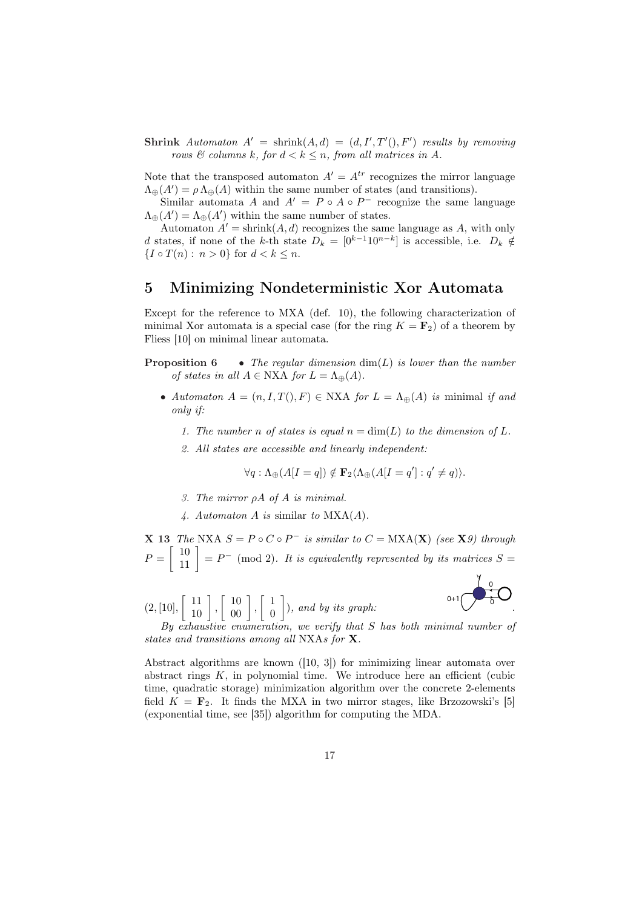Shrink Automaton  $A' = \text{shrink}(A, d) = (d, I', T'), F')$  results by removing rows  $\mathcal B$  columns k, for  $d < k \leq n$ , from all matrices in A.

Note that the transposed automaton  $A' = A^{tr}$  recognizes the mirror language  $\Lambda_{\oplus}(A') = \rho \Lambda_{\oplus}(A)$  within the same number of states (and transitions).

Similar automata A and  $A' = P \circ A \circ P^-$  recognize the same language  $\Lambda_{\oplus}(A') = \Lambda_{\oplus}(A')$  within the same number of states.

Automaton  $A' = \text{shrink}(A, d)$  recognizes the same language as A, with only d states, if none of the k-th state  $D_k = [0^{k-1}10^{n-k}]$  is accessible, i.e.  $D_k \notin$  ${I \circ T(n) : n > 0}$  for  $d < k \leq n$ .

## 5 Minimizing Nondeterministic Xor Automata

Except for the reference to MXA (def. 10), the following characterization of minimal Xor automata is a special case (for the ring  $K = \mathbf{F}_2$ ) of a theorem by Fliess [10] on minimal linear automata.

- **Proposition 6** The regular dimension  $\dim(L)$  is lower than the number of states in all  $A \in NXA$  for  $L = \Lambda_{\mathfrak{m}}(A)$ .
	- Automaton  $A = (n, I, T), F \in NXA$  for  $L = \Lambda_{\oplus}(A)$  is minimal if and only if:
		- 1. The number n of states is equal  $n = \dim(L)$  to the dimension of L.
		- 2. All states are accessible and linearly independent:

$$
\forall q: \Lambda_{\oplus}(A[I=q]) \notin \mathbf{F}_2 \langle \Lambda_{\oplus}(A[I=q']:q' \neq q) \rangle.
$$

- 3. The mirror  $\rho A$  of  $A$  is minimal.
- 4. Automaton A is similar to  $MXA(A)$ .

**X** 13 The NXA  $S = P \circ C \circ P^-$  is similar to  $C = \text{MXA}(\mathbf{X})$  (see **X**9) through  $P = \begin{bmatrix} 10 \\ 11 \end{bmatrix} = P^- \pmod{2}$ . It is equivalently represented by its matrices  $S =$ 

 $(2, 10],$  $\left[\begin{array}{c} 11 \\ 10 \end{array}\right]$ ,  $\left[\begin{array}{c} 10 \\ 00 \end{array}\right]$ ,  $\lceil 1 \rceil$ 0  $\overline{a}$ ), and by its graph:  $\bigvee$   $\bigvee$  .

 $0+1$   $\rightarrow$  $\overline{0}$ 

By exhaustive enumeration, we verify that S has both minimal number of states and transitions among all NXAs for X.

Abstract algorithms are known ([10, 3]) for minimizing linear automata over abstract rings  $K$ , in polynomial time. We introduce here an efficient (cubic time, quadratic storage) minimization algorithm over the concrete 2-elements field  $K = \mathbf{F}_2$ . It finds the MXA in two mirror stages, like Brzozowski's [5] (exponential time, see [35]) algorithm for computing the MDA.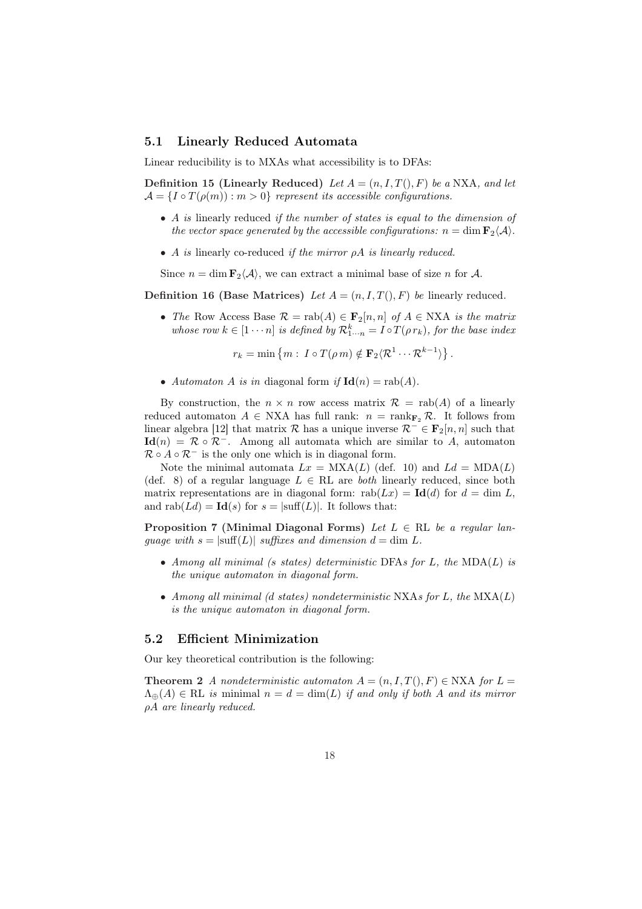#### 5.1 Linearly Reduced Automata

Linear reducibility is to MXAs what accessibility is to DFAs:

Definition 15 (Linearly Reduced) Let  $A = (n, I, T(), F)$  be a NXA, and let  $\mathcal{A} = \{I \circ T(\rho(m)) : m > 0\}$  represent its accessible configurations.

- A is linearly reduced if the number of states is equal to the dimension of the vector space generated by the accessible configurations:  $n = \dim \mathbf{F}_2\langle \mathcal{A} \rangle$ .
- A is linearly co-reduced if the mirror  $\rho A$  is linearly reduced.

Since  $n = \dim \mathbf{F}_2\langle \mathcal{A} \rangle$ , we can extract a minimal base of size n for  $\mathcal{A}$ .

Definition 16 (Base Matrices) Let  $A = (n, I, T(), F)$  be linearly reduced.

• The Row Access Base  $\mathcal{R} = \text{rab}(A) \in \mathbf{F}_2[n,n]$  of  $A \in \text{NXA}$  is the matrix whose row  $k \in [1 \cdots n]$  is defined by  $\mathcal{R}_{1\cdots n}^k = I \circ T(\rho r_k)$ , for the base index

> $r_k = \min \{m : I \circ T(\rho m) \notin \mathbf{F}_2 \langle \mathcal{R}^1 \cdots \mathcal{R}^{k-1} \rangle\}$ ª .

• Automaton A is in diagonal form if  $\text{Id}(n) = \text{rab}(A)$ .

By construction, the  $n \times n$  row access matrix  $\mathcal{R} = \text{rab}(A)$  of a linearly reduced automaton  $A \in NXA$  has full rank:  $n = \text{rank}_{\mathbf{F}_2} \mathcal{R}$ . It follows from linear algebra [12] that matrix R has a unique inverse  $\mathcal{R}^- \in \mathbf{F}_2[n,n]$  such that  $\mathbf{Id}(n) = \mathcal{R} \circ \mathcal{R}^{-}$ . Among all automata which are similar to A, automaton  $\mathcal{R} \circ A \circ \mathcal{R}^-$  is the only one which is in diagonal form.

Note the minimal automata  $Lx = MXA(L)$  (def. 10) and  $Ld = MDA(L)$ (def. 8) of a regular language  $L \in \mathbb{RL}$  are both linearly reduced, since both matrix representations are in diagonal form:  $\text{rab}(Lx) = \text{Id}(d)$  for  $d = \dim L$ , and  $\text{rab}(Ld) = \text{Id}(s)$  for  $s = |\text{suffix}(L)|$ . It follows that:

Proposition 7 (Minimal Diagonal Forms) Let  $L \in \mathbb{RL}$  be a regular language with  $s = |\text{suffixes and dimension } d = \text{dim } L$ .

- Among all minimal (s states) deterministic DFAs for L, the  $MDA(L)$  is the unique automaton in diagonal form.
- Among all minimal (d states) nondeterministic NXAs for  $L$ , the  $\text{MXA}(L)$ is the unique automaton in diagonal form.

#### 5.2 Efficient Minimization

Our key theoretical contribution is the following:

**Theorem 2** A nondeterministic automaton  $A = (n, I, T(), F) \in NXA$  for  $L =$  $\Lambda_{\mathfrak{m}}(A) \in \mathbb{R}$  is minimal  $n = d = \dim(L)$  if and only if both A and its mirror ρA are linearly reduced.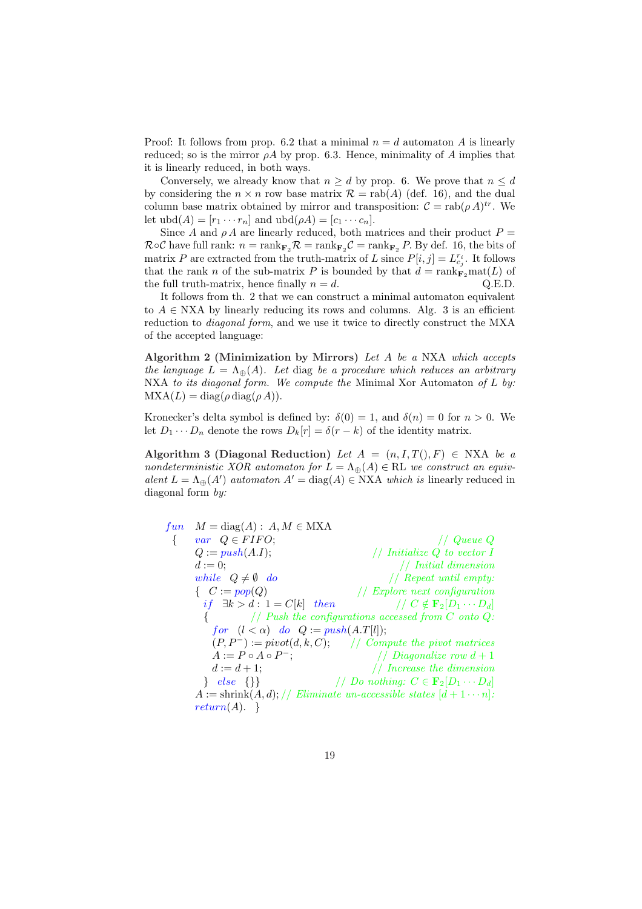Proof: It follows from prop. 6.2 that a minimal  $n = d$  automaton A is linearly reduced; so is the mirror  $\rho A$  by prop. 6.3. Hence, minimality of A implies that it is linearly reduced, in both ways.

Conversely, we already know that  $n \geq d$  by prop. 6. We prove that  $n \leq d$ by considering the  $n \times n$  row base matrix  $\mathcal{R} = \text{rab}(A)$  (def. 16), and the dual column base matrix obtained by mirror and transposition:  $\mathcal{C} = \text{rab}(\rho A)^{tr}$ . We let  $\text{ubd}(A) = [r_1 \cdots r_n]$  and  $\text{ubd}(\rho A) = [c_1 \cdots c_n]$ .

Since A and  $\rho A$  are linearly reduced, both matrices and their product  $P =$  $\mathcal{R} \circ \mathcal{C}$  have full rank:  $n = \text{rank}_{\mathbf{F}_2} \mathcal{R} = \text{rank}_{\mathbf{F}_2} \mathcal{C} = \text{rank}_{\mathbf{F}_2} P$ . By def. 16, the bits of matrix P are extracted from the truth-matrix of L since  $P[i, j] = L_{c_j}^{r_i}$ . It follows that the rank n of the sub-matrix P is bounded by that  $d = \text{rank}_{\mathbf{F}_2} \text{mat}(L)$  of the full truth-matrix, hence finally  $n = d$ . Q.E.D.

It follows from th. 2 that we can construct a minimal automaton equivalent to  $A \in NXA$  by linearly reducing its rows and columns. Alg. 3 is an efficient reduction to diagonal form, and we use it twice to directly construct the MXA of the accepted language:

Algorithm 2 (Minimization by Mirrors) Let A be a NXA which accepts the language  $L = \Lambda_{\oplus}(A)$ . Let diag be a procedure which reduces an arbitrary NXA to its diagonal form. We compute the Minimal Xor Automaton of  $L$  by:  $MXA(L) = diag(\rho diag(\rho A)).$ 

Kronecker's delta symbol is defined by:  $\delta(0) = 1$ , and  $\delta(n) = 0$  for  $n > 0$ . We let  $D_1 \cdots D_n$  denote the rows  $D_k[r] = \delta(r-k)$  of the identity matrix.

Algorithm 3 (Diagonal Reduction) Let  $A = (n, I, T(), F) \in NXA$  be a nondeterministic XOR automaton for  $L = \Lambda_{\oplus}(A) \in \mathbb{RL}$  we construct an equivalent  $L = \Lambda_{\oplus}(A')$  automaton  $A' = \text{diag}(A) \in NXA$  which is linearly reduced in diagonal form by:

```
fun \t M = diag(A): A, M \in MXA{ var Q \in FIFO; // Queue Q
Q := push(A.I); // Initialize Q to vector I
d := 0; // Initial dimension
while Q \neq \emptyset do \hspace{1cm} // Repeat until empty:
{ C := pop(Q)<br>if \exists k > d : 1 = C[k] then // C \notin \mathbf{F}_2[D_1 \cdots D_d]if ∃k > d : 1 = C[k] then
          \frac{1}{2} Push the configurations accessed from C onto Q:
   for (l < \alpha) do Q := push(A.T[l]);(P, P^-) := pivot(d, k, C); // Compute the pivot matrices
   A := P \circ A \circ P^{-};
                 -; // Diagonalize row d+1d := d + 1; // Increase the dimension
  } else {}} / // Do nothing: C \in \mathbf{F}_2[D_1 \cdots D_d]A := \text{shrink}(A, d); // Eliminate un-accessible states <math>[d+1 \cdots n]</math>:return(A). \}
```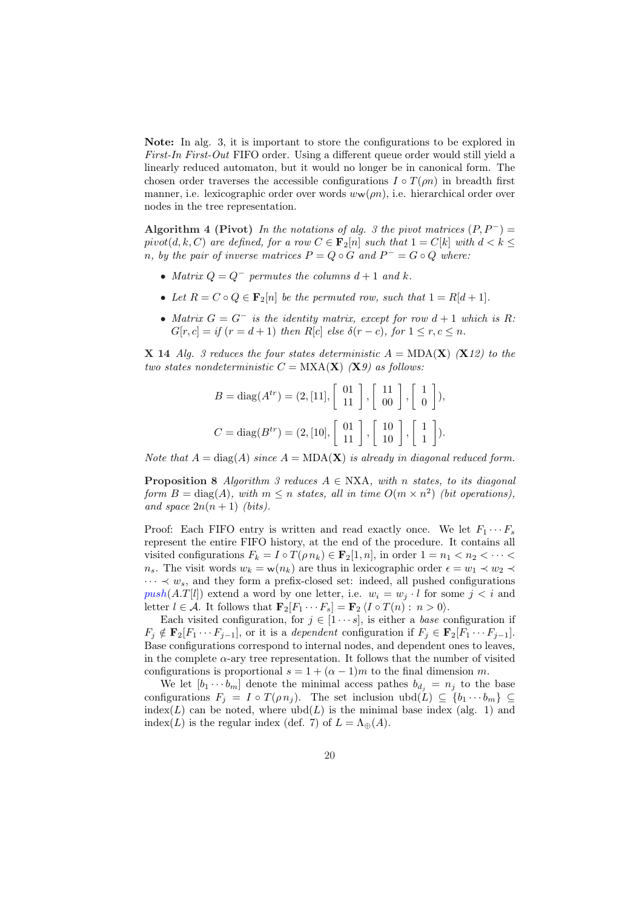Note: In alg. 3, it is important to store the configurations to be explored in First-In First-Out FIFO order. Using a different queue order would still yield a linearly reduced automaton, but it would no longer be in canonical form. The chosen order traverses the accessible configurations  $I \circ T(\rho n)$  in breadth first manner, i.e. lexicographic order over words  $w_{\mathbf{w}}(\rho n)$ , i.e. hierarchical order over nodes in the tree representation.

Algorithm 4 (Pivot) In the notations of alg. 3 the pivot matrices  $(P, P^-)$  = pivot(d, k, C) are defined, for a row  $C \in \mathbf{F}_2[n]$  such that  $1 = C[k]$  with  $d < k \leq$ n, by the pair of inverse matrices  $P = Q \circ G$  and  $P^- = G \circ Q$  where:

- Matrix  $Q = Q^-$  permutes the columns  $d+1$  and k.
- Let  $R = C \circ Q \in \mathbf{F}_2[n]$  be the permuted row, such that  $1 = R[d+1]$ .
- Matrix  $G = G^-$  is the identity matrix, except for row  $d+1$  which is R:  $G[r, c] = if (r = d + 1)$  then  $R[c]$  else  $\delta(r - c)$ , for  $1 \le r, c \le n$ .

**X** 14 Alg. 3 reduces the four states deterministic  $A = MDA(X)$  (**X**12) to the two states nondeterministic  $C = MXA(X)$  (X9) as follows:

$$
B = \text{diag}(A^{tr}) = (2, [11], \begin{bmatrix} 01 \\ 11 \end{bmatrix}, \begin{bmatrix} 11 \\ 00 \end{bmatrix}, \begin{bmatrix} 1 \\ 0 \end{bmatrix}),
$$
  

$$
C = \text{diag}(B^{tr}) = (2, [10], \begin{bmatrix} 01 \\ 11 \end{bmatrix}, \begin{bmatrix} 10 \\ 10 \end{bmatrix}, \begin{bmatrix} 1 \\ 1 \end{bmatrix}).
$$

Note that  $A = \text{diag}(A)$  since  $A = \text{MDA}(\mathbf{X})$  is already in diagonal reduced form.

**Proposition 8** Algorithm 3 reduces  $A \in NXA$ , with n states, to its diagonal form  $B = \text{diag}(A)$ , with  $m \leq n$  states, all in time  $O(m \times n^2)$  (bit operations), and space  $2n(n+1)$  (bits).

Proof: Each FIFO entry is written and read exactly once. We let  $F_1 \cdots F_s$ represent the entire FIFO history, at the end of the procedure. It contains all visited configurations  $F_k = I \circ T(\rho n_k) \in \mathbf{F}_2[1, n]$ , in order  $1 = n_1 < n_2 < \cdots <$  $n_s$ . The visit words  $w_k = \mathbf{w}(n_k)$  are thus in lexicographic order  $\epsilon = w_1 \prec w_2 \prec$  $\cdots \prec w_s$ , and they form a prefix-closed set: indeed, all pushed configurations  $push(A.T[l])$  extend a word by one letter, i.e.  $w_i = w_j \cdot l$  for some  $j < i$  and letter  $l \in \mathcal{A}$ . It follows that  $\mathbf{F}_2[F_1 \cdots F_s] = \mathbf{F}_2 \langle I \circ T(n) : n > 0 \rangle$ .

Each visited configuration, for  $j \in [1 \cdots s]$ , is either a *base* configuration if  $F_i \notin \mathbf{F}_2[F_1 \cdots F_{i-1}],$  or it is a *dependent* configuration if  $F_i \in \mathbf{F}_2[F_1 \cdots F_{i-1}].$ Base configurations correspond to internal nodes, and dependent ones to leaves, in the complete  $\alpha$ -ary tree representation. It follows that the number of visited configurations is proportional  $s = 1 + (\alpha - 1)m$  to the final dimension m.

We let  $[b_1 \cdots b_m]$  denote the minimal access pathes  $b_{d_i} = n_j$  to the base configurations  $F_j = I \circ T(\rho n_j)$ . The set inclusion ubd $(L) \subseteq \{b_1 \cdots b_m\} \subseteq$ index(L) can be noted, where  $ubd(L)$  is the minimal base index (alg. 1) and index(L) is the regular index (def. 7) of  $L = \Lambda_{\oplus}(A)$ .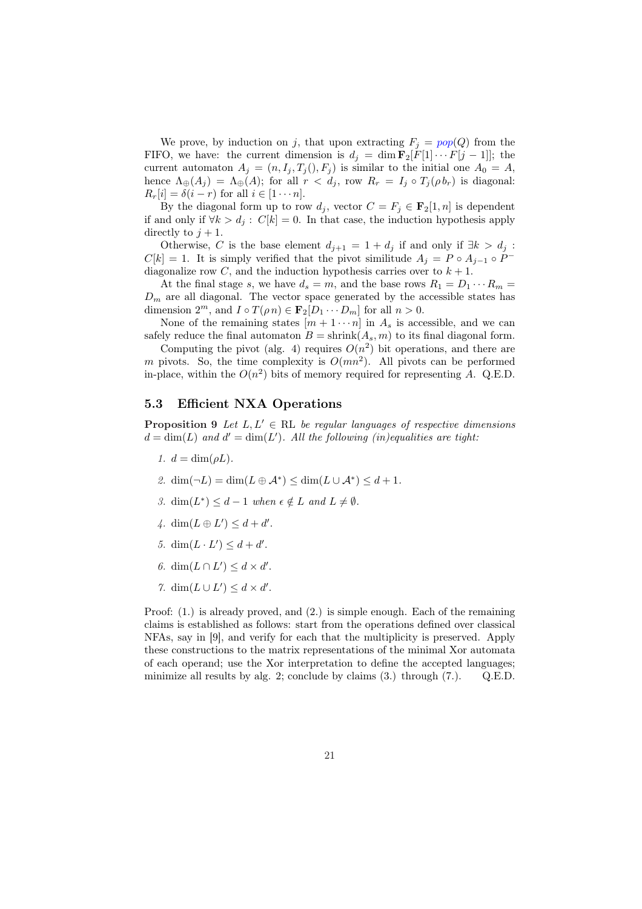We prove, by induction on j, that upon extracting  $F_i = pop(Q)$  from the FIFO, we have: the current dimension is  $d_j = \dim \mathbf{F}_2[F[1] \cdots F[j-1]]$ ; the current automaton  $A_j = (n, I_j, T_j(), F_j)$  is similar to the initial one  $A_0 = A$ , hence  $\Lambda_{\oplus}(A_j) = \Lambda_{\oplus}(A)$ ; for all  $r < d_j$ , row  $R_r = I_j \circ T_j(\rho b_r)$  is diagonal:  $R_r[i] = \delta(i - r)$  for all  $i \in [1 \cdots n]$ .

By the diagonal form up to row  $d_j$ , vector  $C = F_j \in \mathbf{F}_2[1, n]$  is dependent if and only if  $\forall k > d_i : C[k] = 0$ . In that case, the induction hypothesis apply directly to  $j + 1$ .

Otherwise, C is the base element  $d_{j+1} = 1 + d_j$  if and only if  $\exists k > d_j$ :  $C[k] = 1$ . It is simply verified that the pivot similitude  $A_j = P \circ A_{j-1} \circ P^{-1}$ diagonalize row C, and the induction hypothesis carries over to  $k + 1$ .

At the final stage s, we have  $d_s = m$ , and the base rows  $R_1 = D_1 \cdots R_m =$  $D_m$  are all diagonal. The vector space generated by the accessible states has dimension  $2^m$ , and  $I \circ T(\rho n) \in \mathbf{F}_2[D_1 \cdots D_m]$  for all  $n > 0$ .

None of the remaining states  $[m+1 \cdots n]$  in  $A_s$  is accessible, and we can safely reduce the final automaton  $B = \text{shrink}(A_s, m)$  to its final diagonal form.

Computing the pivot (alg. 4) requires  $O(n^2)$  bit operations, and there are m pivots. So, the time complexity is  $O(mn^2)$ . All pivots can be performed in-place, within the  $O(n^2)$  bits of memory required for representing A. Q.E.D.

## 5.3 Efficient NXA Operations

**Proposition 9** Let  $L, L' \in \mathbb{RL}$  be regular languages of respective dimensions  $d = \dim(L)$  and  $d' = \dim(L')$ . All the following (in)equalities are tight:

- 1.  $d = \dim(\rho L)$ .
- 2.  $\dim(\neg L) = \dim(L \oplus \mathcal{A}^*) \leq \dim(L \cup \mathcal{A}^*) \leq d + 1$ .
- 3.  $\dim(L^*) \leq d-1$  when  $\epsilon \notin L$  and  $L \neq \emptyset$ .
- 4.  $\dim(L \oplus L') \leq d + d'$ .
- 5. dim $(L \cdot L') \leq d + d'$ .
- 6. dim $(L \cap L') \leq d \times d'$ .
- 7. dim $(L \cup L') \leq d \times d'$ .

Proof: (1.) is already proved, and (2.) is simple enough. Each of the remaining claims is established as follows: start from the operations defined over classical NFAs, say in [9], and verify for each that the multiplicity is preserved. Apply these constructions to the matrix representations of the minimal Xor automata of each operand; use the Xor interpretation to define the accepted languages; minimize all results by alg. 2; conclude by claims (3.) through (7.). Q.E.D.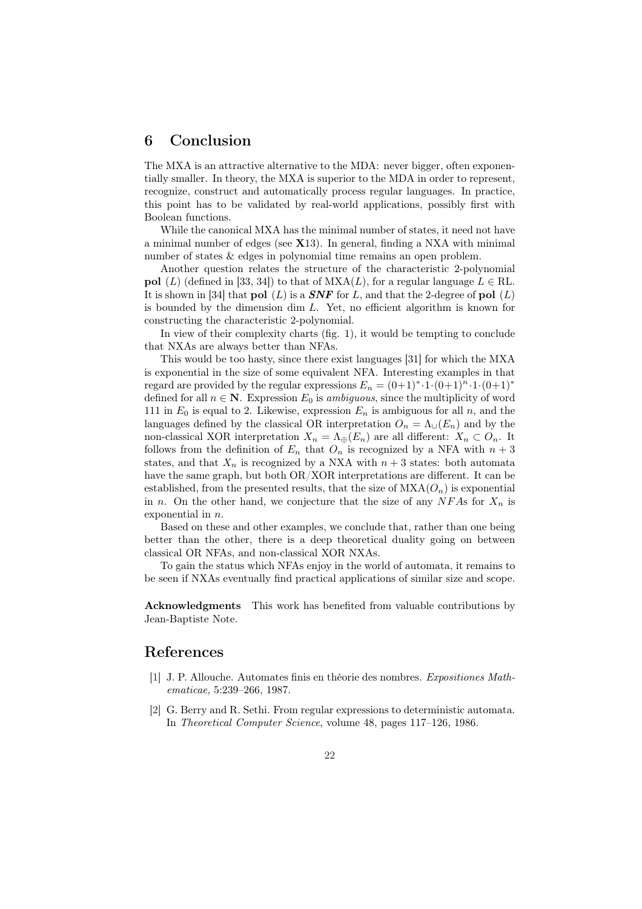## 6 Conclusion

The MXA is an attractive alternative to the MDA: never bigger, often exponentially smaller. In theory, the MXA is superior to the MDA in order to represent, recognize, construct and automatically process regular languages. In practice, this point has to be validated by real-world applications, possibly first with Boolean functions.

While the canonical MXA has the minimal number of states, it need not have a minimal number of edges (see X13). In general, finding a NXA with minimal number of states & edges in polynomial time remains an open problem.

Another question relates the structure of the characteristic 2-polynomial pol (L) (defined in [33, 34]) to that of  $MXA(L)$ , for a regular language  $L \in \text{RL}$ . It is shown in [34] that pol  $(L)$  is a *SNF* for L, and that the 2-degree of pol  $(L)$ is bounded by the dimension dim  $L$ . Yet, no efficient algorithm is known for constructing the characteristic 2-polynomial.

In view of their complexity charts (fig. 1), it would be tempting to conclude that NXAs are always better than NFAs.

This would be too hasty, since there exist languages [31] for which the MXA is exponential in the size of some equivalent NFA. Interesting examples in that regard are provided by the regular expressions  $E_n = (0+1)^* \cdot 1 \cdot (0+1)^n \cdot 1 \cdot (0+1)^*$ defined for all  $n \in \mathbb{N}$ . Expression  $E_0$  is ambiguous, since the multiplicity of word 111 in  $E_0$  is equal to 2. Likewise, expression  $E_n$  is ambiguous for all n, and the languages defined by the classical OR interpretation  $O_n = \Lambda_{\cup}(E_n)$  and by the non-classical XOR interpretation  $X_n = \Lambda_{\oplus}(E_n)$  are all different:  $X_n \subset O_n$ . It follows from the definition of  $E_n$  that  $O_n$  is recognized by a NFA with  $n+3$ states, and that  $X_n$  is recognized by a NXA with  $n+3$  states: both automata have the same graph, but both OR/XOR interpretations are different. It can be established, from the presented results, that the size of  $MXA(O_n)$  is exponential in n. On the other hand, we conjecture that the size of any  $NFAs$  for  $X_n$  is exponential in n.

Based on these and other examples, we conclude that, rather than one being better than the other, there is a deep theoretical duality going on between classical OR NFAs, and non-classical XOR NXAs.

To gain the status which NFAs enjoy in the world of automata, it remains to be seen if NXAs eventually find practical applications of similar size and scope.

Acknowledgments This work has benefited from valuable contributions by Jean-Baptiste Note.

## References

- [1] J. P. Allouche. Automates finis en théorie des nombres. Expositiones Mathematicae, 5:239–266, 1987.
- [2] G. Berry and R. Sethi. From regular expressions to deterministic automata. In Theoretical Computer Science, volume 48, pages 117–126, 1986.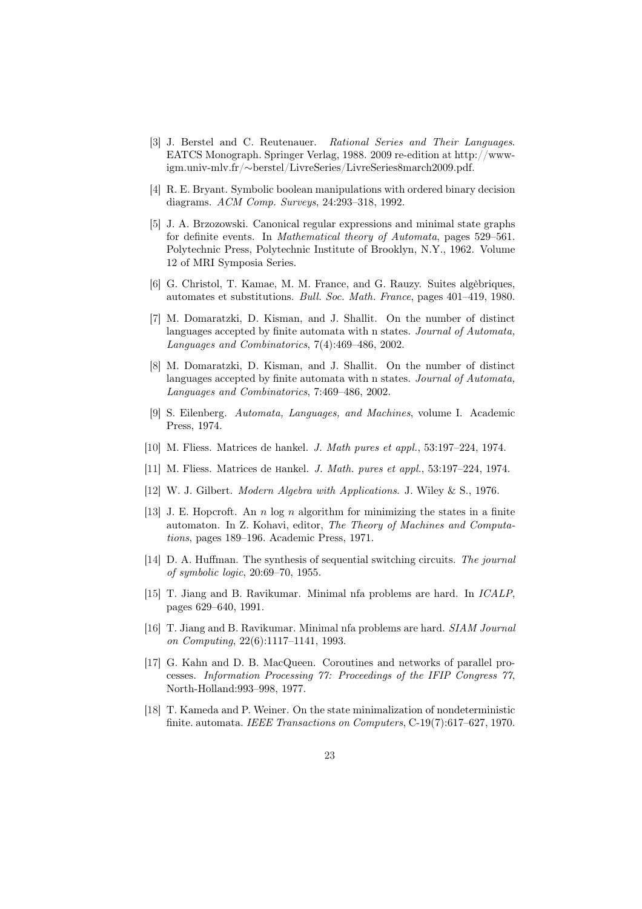- [3] J. Berstel and C. Reutenauer. Rational Series and Their Languages. EATCS Monograph. Springer Verlag, 1988. 2009 re-edition at http://wwwigm.univ-mlv.fr/∼berstel/LivreSeries/LivreSeries8march2009.pdf.
- [4] R. E. Bryant. Symbolic boolean manipulations with ordered binary decision diagrams. ACM Comp. Surveys, 24:293–318, 1992.
- [5] J. A. Brzozowski. Canonical regular expressions and minimal state graphs for definite events. In Mathematical theory of Automata, pages 529–561. Polytechnic Press, Polytechnic Institute of Brooklyn, N.Y., 1962. Volume 12 of MRI Symposia Series.
- [6] G. Christol, T. Kamae, M. M. France, and G. Rauzy. Suites algèbriques, automates et substitutions. Bull. Soc. Math. France, pages 401–419, 1980.
- [7] M. Domaratzki, D. Kisman, and J. Shallit. On the number of distinct languages accepted by finite automata with n states. Journal of Automata, Languages and Combinatorics, 7(4):469–486, 2002.
- [8] M. Domaratzki, D. Kisman, and J. Shallit. On the number of distinct languages accepted by finite automata with n states. Journal of Automata, Languages and Combinatorics, 7:469–486, 2002.
- [9] S. Eilenberg. Automata, Languages, and Machines, volume I. Academic Press, 1974.
- [10] M. Fliess. Matrices de hankel. J. Math pures et appl., 53:197–224, 1974.
- [11] M. Fliess. Matrices de hankel. J. Math. pures et appl., 53:197–224, 1974.
- [12] W. J. Gilbert. Modern Algebra with Applications. J. Wiley & S., 1976.
- [13] J. E. Hopcroft. An n log n algorithm for minimizing the states in a finite automaton. In Z. Kohavi, editor, The Theory of Machines and Computations, pages 189–196. Academic Press, 1971.
- [14] D. A. Huffman. The synthesis of sequential switching circuits. The journal of symbolic logic, 20:69–70, 1955.
- [15] T. Jiang and B. Ravikumar. Minimal nfa problems are hard. In ICALP, pages 629–640, 1991.
- [16] T. Jiang and B. Ravikumar. Minimal nfa problems are hard. SIAM Journal on Computing, 22(6):1117–1141, 1993.
- [17] G. Kahn and D. B. MacQueen. Coroutines and networks of parallel processes. Information Processing 77: Proceedings of the IFIP Congress 77, North-Holland:993–998, 1977.
- [18] T. Kameda and P. Weiner. On the state minimalization of nondeterministic finite. automata. IEEE Transactions on Computers, C-19(7):617–627, 1970.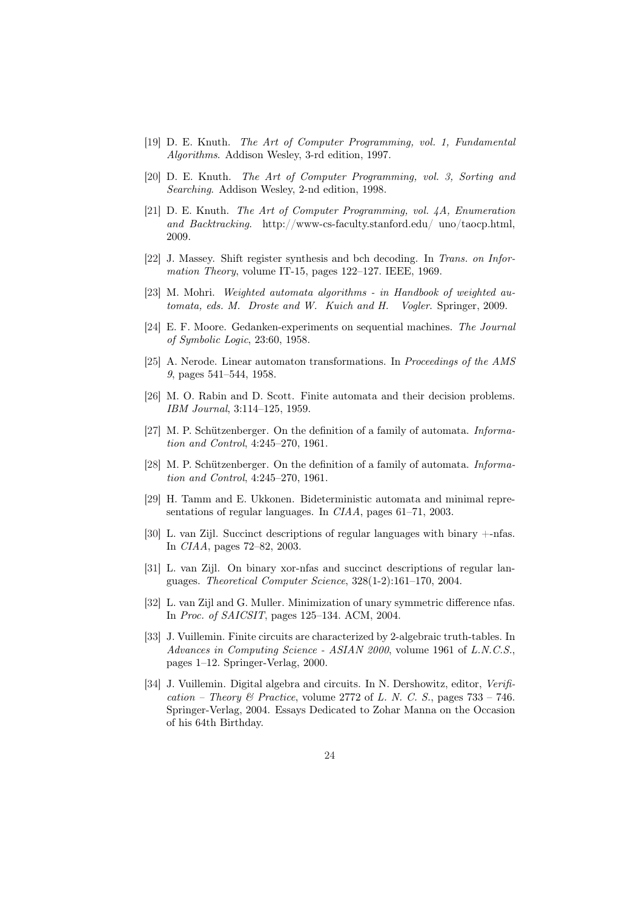- [19] D. E. Knuth. The Art of Computer Programming, vol. 1, Fundamental Algorithms. Addison Wesley, 3-rd edition, 1997.
- [20] D. E. Knuth. The Art of Computer Programming, vol. 3, Sorting and Searching. Addison Wesley, 2-nd edition, 1998.
- [21] D. E. Knuth. The Art of Computer Programming, vol. 4A, Enumeration and Backtracking. http://www-cs-faculty.stanford.edu/ uno/taocp.html, 2009.
- [22] J. Massey. Shift register synthesis and bch decoding. In Trans. on Information Theory, volume IT-15, pages 122–127. IEEE, 1969.
- [23] M. Mohri. Weighted automata algorithms in Handbook of weighted automata, eds. M. Droste and W. Kuich and H. Vogler. Springer, 2009.
- [24] E. F. Moore. Gedanken-experiments on sequential machines. The Journal of Symbolic Logic, 23:60, 1958.
- [25] A. Nerode. Linear automaton transformations. In Proceedings of the AMS 9, pages 541–544, 1958.
- [26] M. O. Rabin and D. Scott. Finite automata and their decision problems. IBM Journal, 3:114–125, 1959.
- [27] M. P. Schützenberger. On the definition of a family of automata. *Informa*tion and Control, 4:245–270, 1961.
- [28] M. P. Schützenberger. On the definition of a family of automata. Information and Control, 4:245–270, 1961.
- [29] H. Tamm and E. Ukkonen. Bideterministic automata and minimal representations of regular languages. In CIAA, pages 61–71, 2003.
- [30] L. van Zijl. Succinct descriptions of regular languages with binary +-nfas. In CIAA, pages 72–82, 2003.
- [31] L. van Zijl. On binary xor-nfas and succinct descriptions of regular languages. Theoretical Computer Science, 328(1-2):161–170, 2004.
- [32] L. van Zijl and G. Muller. Minimization of unary symmetric difference nfas. In Proc. of SAICSIT, pages 125–134. ACM, 2004.
- [33] J. Vuillemin. Finite circuits are characterized by 2-algebraic truth-tables. In Advances in Computing Science - ASIAN 2000, volume 1961 of L.N.C.S., pages 1–12. Springer-Verlag, 2000.
- [34] J. Vuillemin. Digital algebra and circuits. In N. Dershowitz, editor, Verification – Theory & Practice, volume 2772 of L. N. C. S., pages  $733 - 746$ . Springer-Verlag, 2004. Essays Dedicated to Zohar Manna on the Occasion of his 64th Birthday.